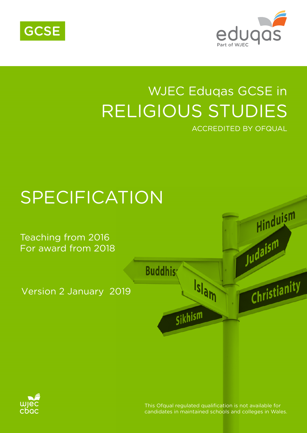



# WJEC Eduqas GCSE in RELIGIOUS STUDIES ACCREDITED BY OFQUAL





This Ofqual requlated qualification is not available for candidates in maintained schools and colleges in Wales.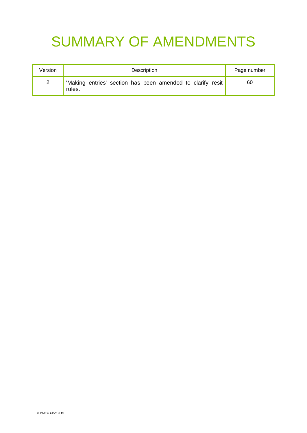# SUMMARY OF AMENDMENTS

| Version      | Description                                                          | Page number |
|--------------|----------------------------------------------------------------------|-------------|
| $\mathbf{2}$ | 'Making entries' section has been amended to clarify resit<br>rules. | 60          |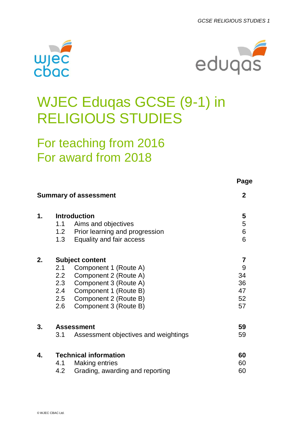



# WJEC Eduqas GCSE (9-1) in RELIGIOUS STUDIES

# For teaching from 2016 For award from 2018

|    |     |                                      | Page           |
|----|-----|--------------------------------------|----------------|
|    |     | <b>Summary of assessment</b>         | $\mathbf{2}$   |
| 1. |     | <b>Introduction</b>                  | 5              |
|    | 1.1 | Aims and objectives                  | 5              |
|    |     | 1.2 Prior learning and progression   | 6              |
|    |     | 1.3 Equality and fair access         | 6              |
| 2. |     | <b>Subject content</b>               | $\overline{7}$ |
|    | 2.1 | Component 1 (Route A)                | 9              |
|    |     | 2.2 Component 2 (Route A)            | 34             |
|    |     | 2.3 Component 3 (Route A)            | 36             |
|    |     | 2.4 Component 1 (Route B)            | 47             |
|    |     | 2.5 Component 2 (Route B)            | 52             |
|    | 2.6 | Component 3 (Route B)                | 57             |
| 3. |     | <b>Assessment</b>                    | 59             |
|    | 3.1 | Assessment objectives and weightings | 59             |
| 4. |     | <b>Technical information</b>         | 60             |
|    | 4.1 | <b>Making entries</b>                | 60             |
|    | 4.2 | Grading, awarding and reporting      | 60             |
|    |     |                                      |                |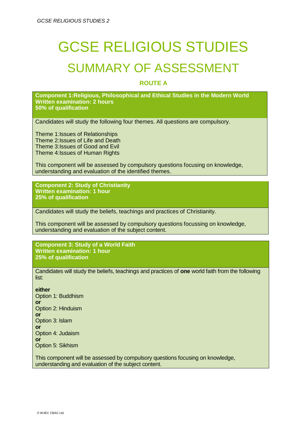# GCSE RELIGIOUS STUDIES SUMMARY OF ASSESSMENT

#### **ROUTE A**

**Component 1:Religious, Philosophical and Ethical Studies in the Modern World Written examination: 2 hours 50% of qualification**

Candidates will study the following four themes. All questions are compulsory.

Theme 1:Issues of Relationships Theme 2:Issues of Life and Death Theme 3:Issues of Good and Evil Theme 4:Issues of Human Rights

This component will be assessed by compulsory questions focusing on knowledge, understanding and evaluation of the identified themes.

**Component 2: Study of Christianity Written examination: 1 hour 25% of qualification**

Candidates will study the beliefs, teachings and practices of Christianity.

This component will be assessed by compulsory questions focussing on knowledge, understanding and evaluation of the subject content.

**Component 3: Study of a World Faith Written examination: 1 hour 25% of qualification**

Candidates will study the beliefs, teachings and practices of **one** world faith from the following list:

**either** Option 1: Buddhism **or**  Option 2: Hinduism **or** Option 3: Islam **or** Option 4: Judaism **or** Option 5: Sikhism

This component will be assessed by compulsory questions focusing on knowledge, understanding and evaluation of the subject content.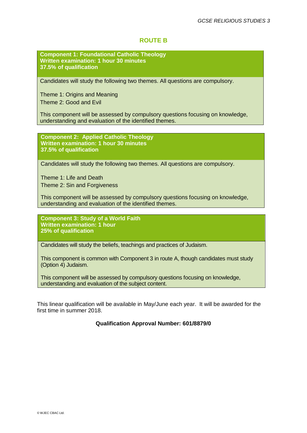#### **ROUTE B**

**Component 1: Foundational Catholic Theology Written examination: 1 hour 30 minutes 37.5% of qualification**

Candidates will study the following two themes. All questions are compulsory.

Theme 1: Origins and Meaning Theme 2: Good and Evil

This component will be assessed by compulsory questions focusing on knowledge, understanding and evaluation of the identified themes.

**Component 2: Applied Catholic Theology Written examination: 1 hour 30 minutes 37.5% of qualification**

Candidates will study the following two themes. All questions are compulsory.

Theme 1: Life and Death Theme 2: Sin and Forgiveness

This component will be assessed by compulsory questions focusing on knowledge, understanding and evaluation of the identified themes.

**Component 3: Study of a World Faith Written examination: 1 hour 25% of qualification**

Candidates will study the beliefs, teachings and practices of Judaism.

This component is common with Component 3 in route A, though candidates must study (Option 4) Judaism.

This component will be assessed by compulsory questions focusing on knowledge, understanding and evaluation of the subject content.

This linear qualification will be available in May/June each year. It will be awarded for the first time in summer 2018.

#### **Qualification Approval Number: 601/8879/0**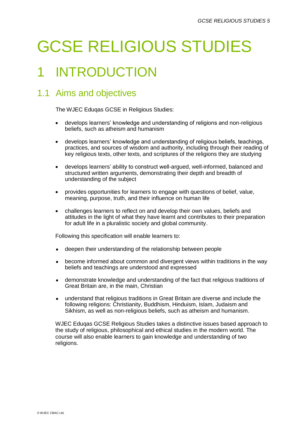# GCSE RELIGIOUS STUDIES

# 1 INTRODUCTION

## 1.1 Aims and objectives

The WJEC Eduqas GCSE in Religious Studies:

- develops learners' knowledge and understanding of religions and non-religious beliefs, such as atheism and humanism
- develops learners' knowledge and understanding of religious beliefs, teachings, practices, and sources of wisdom and authority, including through their reading of key religious texts, other texts, and scriptures of the religions they are studying
- develops learners' ability to construct well-argued, well-informed, balanced and structured written arguments, demonstrating their depth and breadth of understanding of the subject
- provides opportunities for learners to engage with questions of belief, value, meaning, purpose, truth, and their influence on human life
- challenges learners to reflect on and develop their own values, beliefs and attitudes in the light of what they have learnt and contributes to their preparation for adult life in a pluralistic society and global community.

Following this specification will enable learners to:

- deepen their understanding of the relationship between people
- become informed about common and divergent views within traditions in the way beliefs and teachings are understood and expressed
- demonstrate knowledge and understanding of the fact that religious traditions of Great Britain are, in the main, Christian
- understand that religious traditions in Great Britain are diverse and include the following religions: Christianity, Buddhism, Hinduism, Islam, Judaism and Sikhism, as well as non-religious beliefs, such as atheism and humanism.

WJEC Eduqas GCSE Religious Studies takes a distinctive issues based approach to the study of religious, philosophical and ethical studies in the modern world. The course will also enable learners to gain knowledge and understanding of two religions.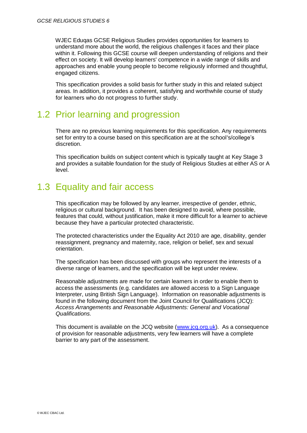WJEC Eduqas GCSE Religious Studies provides opportunities for learners to understand more about the world, the religious challenges it faces and their place within it. Following this GCSE course will deepen understanding of religions and their effect on society. It will develop learners' competence in a wide range of skills and approaches and enable young people to become religiously informed and thoughtful, engaged citizens.

This specification provides a solid basis for further study in this and related subject areas. In addition, it provides a coherent, satisfying and worthwhile course of study for learners who do not progress to further study.

## 1.2 Prior learning and progression

There are no previous learning requirements for this specification. Any requirements set for entry to a course based on this specification are at the school's/college's discretion.

This specification builds on subject content which is typically taught at Key Stage 3 and provides a suitable foundation for the study of Religious Studies at either AS or A level.

## 1.3 Equality and fair access

This specification may be followed by any learner, irrespective of gender, ethnic, religious or cultural background. It has been designed to avoid, where possible, features that could, without justification, make it more difficult for a learner to achieve because they have a particular protected characteristic.

The protected characteristics under the Equality Act 2010 are age, disability, gender reassignment, pregnancy and maternity, race, religion or belief, sex and sexual orientation.

The specification has been discussed with groups who represent the interests of a diverse range of learners, and the specification will be kept under review.

Reasonable adjustments are made for certain learners in order to enable them to access the assessments (e.g. candidates are allowed access to a Sign Language Interpreter, using British Sign Language). Information on reasonable adjustments is found in the following document from the Joint Council for Qualifications (JCQ): *Access Arrangements and Reasonable Adjustments: General and Vocational Qualifications.* 

This document is available on the JCQ website [\(www.jcq.org.uk\)](http://www.jcq.org.uk/). As a consequence of provision for reasonable adjustments, very few learners will have a complete barrier to any part of the assessment.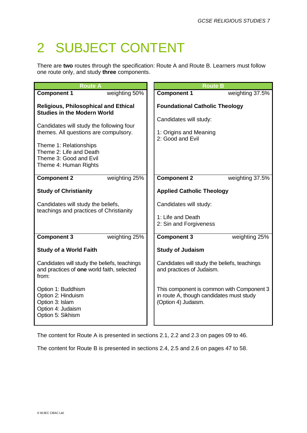# 2 SUBJECT CONTENT

There are **two** routes through the specification: Route A and Route B. Learners must follow one route only, and study **three** components.

| <b>Route A</b>                                                                                                                                                                            | <b>Route B</b>                                                                                               |
|-------------------------------------------------------------------------------------------------------------------------------------------------------------------------------------------|--------------------------------------------------------------------------------------------------------------|
| <b>Component 1</b><br>weighting 50%                                                                                                                                                       | <b>Component 1</b><br>weighting 37.5%                                                                        |
| <b>Religious, Philosophical and Ethical</b><br><b>Studies in the Modern World</b>                                                                                                         | <b>Foundational Catholic Theology</b>                                                                        |
| Candidates will study the following four<br>themes. All questions are compulsory.<br>Theme 1: Relationships<br>Theme 2: Life and Death<br>Theme 3: Good and Evil<br>Theme 4: Human Rights | Candidates will study:<br>1: Origins and Meaning<br>2: Good and Evil                                         |
| weighting 25%<br><b>Component 2</b>                                                                                                                                                       | <b>Component 2</b><br>weighting 37.5%                                                                        |
| <b>Study of Christianity</b>                                                                                                                                                              | <b>Applied Catholic Theology</b>                                                                             |
| Candidates will study the beliefs,                                                                                                                                                        | Candidates will study:                                                                                       |
| teachings and practices of Christianity                                                                                                                                                   | 1: Life and Death<br>2: Sin and Forgiveness                                                                  |
| <b>Component 3</b><br>weighting 25%                                                                                                                                                       | <b>Component 3</b><br>weighting 25%                                                                          |
| <b>Study of a World Faith</b>                                                                                                                                                             | <b>Study of Judaism</b>                                                                                      |
| Candidates will study the beliefs, teachings<br>and practices of one world faith, selected<br>from:                                                                                       | Candidates will study the beliefs, teachings<br>and practices of Judaism.                                    |
| Option 1: Buddhism<br>Option 2: Hinduism<br>Option 3: Islam<br>Option 4: Judaism<br>Option 5: Sikhism                                                                                     | This component is common with Component 3<br>in route A, though candidates must study<br>(Option 4) Judaism. |

The content for Route A is presented in sections 2.1, 2.2 and 2.3 on pages 09 to 46.

The content for Route B is presented in sections 2.4, 2.5 and 2.6 on pages 47 to 58.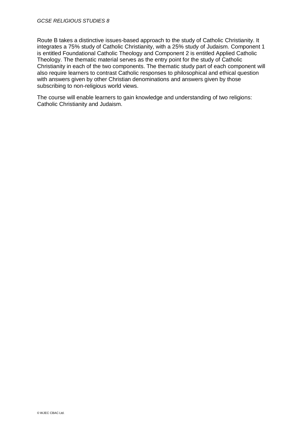Route B takes a distinctive issues-based approach to the study of Catholic Christianity. It integrates a 75% study of Catholic Christianity, with a 25% study of Judaism. Component 1 is entitled Foundational Catholic Theology and Component 2 is entitled Applied Catholic Theology. The thematic material serves as the entry point for the study of Catholic Christianity in each of the two components. The thematic study part of each component will also require learners to contrast Catholic responses to philosophical and ethical question with answers given by other Christian denominations and answers given by those subscribing to non-religious world views.

The course will enable learners to gain knowledge and understanding of two religions: Catholic Christianity and Judaism.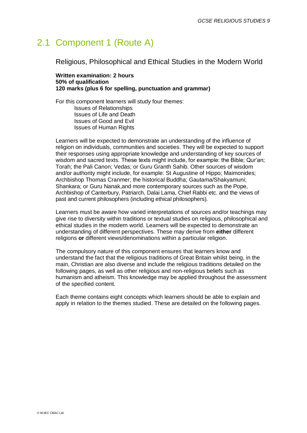## 2.1 Component 1 (Route A)

Religious, Philosophical and Ethical Studies in the Modern World

**Written examination: 2 hours 50% of qualification 120 marks (plus 6 for spelling, punctuation and grammar)**

For this component learners will study four themes: Issues of Relationships Issues of Life and Death Issues of Good and Evil Issues of Human Rights

Learners will be expected to demonstrate an understanding of the influence of religion on individuals, communities and societies. They will be expected to support their responses using appropriate knowledge and understanding of key sources of wisdom and sacred texts. These texts might include, for example: the Bible; Qur'an; Torah; the Pali Canon; Vedas; or Guru Granth Sahib. Other sources of wisdom and/or authority might include, for example: St Augustine of Hippo; Maimonides; Archbishop Thomas Cranmer; the historical Buddha; Gautama/Shakyamuni; Shankara; or Guru Nanak,and more contemporary sources such as the Pope, Archbishop of Canterbury, Patriarch, Dalai Lama, Chief Rabbi etc. and the views of past and current philosophers (including ethical philosophers).

Learners must be aware how varied interpretations of sources and/or teachings may give rise to diversity within traditions or textual studies on religious, philosophical and ethical studies in the modern world. Learners will be expected to demonstrate an understanding of different perspectives. These may derive from **either** different religions **or** different views/denominations within a particular religion.

The compulsory nature of this component ensures that learners know and understand the fact that the religious traditions of Great Britain whilst being, in the main, Christian are also diverse and include the religious traditions detailed on the following pages, as well as other religious and non-religious beliefs such as humanism and atheism. This knowledge may be applied throughout the assessment of the specified content.

Each theme contains eight concepts which learners should be able to explain and apply in relation to the themes studied. These are detailed on the following pages.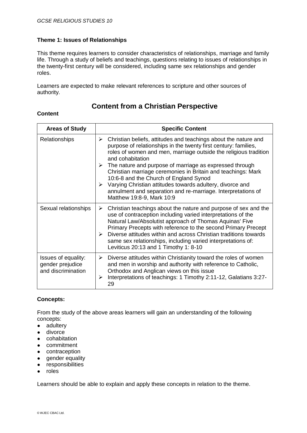This theme requires learners to consider characteristics of relationships, marriage and family life. Through a study of beliefs and teachings, questions relating to issues of relationships in the twenty-first century will be considered, including same sex relationships and gender roles.

Learners are expected to make relevant references to scripture and other sources of authority.

## **Content from a Christian Perspective**

#### **Content**

| <b>Areas of Study</b>                                         | <b>Specific Content</b>                                                                                                                                                                                                                                                                                                                                                                                                                                                                                                                                                              |
|---------------------------------------------------------------|--------------------------------------------------------------------------------------------------------------------------------------------------------------------------------------------------------------------------------------------------------------------------------------------------------------------------------------------------------------------------------------------------------------------------------------------------------------------------------------------------------------------------------------------------------------------------------------|
| Relationships                                                 | Christian beliefs, attitudes and teachings about the nature and<br>➤<br>purpose of relationships in the twenty first century: families,<br>roles of women and men, marriage outside the religious tradition<br>and cohabitation<br>$\triangleright$ The nature and purpose of marriage as expressed through<br>Christian marriage ceremonies in Britain and teachings: Mark<br>10:6-8 and the Church of England Synod<br>Varying Christian attitudes towards adultery, divorce and<br>➤<br>annulment and separation and re-marriage. Interpretations of<br>Matthew 19:8-9, Mark 10:9 |
| Sexual relationships                                          | Christian teachings about the nature and purpose of sex and the<br>➤<br>use of contraception including varied interpretations of the<br>Natural Law/Absolutist approach of Thomas Aquinas' Five<br>Primary Precepts with reference to the second Primary Precept<br>Diverse attitudes within and across Christian traditions towards<br>➤<br>same sex relationships, including varied interpretations of:<br>Leviticus 20:13 and 1 Timothy 1: 8-10                                                                                                                                   |
| Issues of equality:<br>gender prejudice<br>and discrimination | Diverse attitudes within Christianity toward the roles of women<br>➤<br>and men in worship and authority with reference to Catholic,<br>Orthodox and Anglican views on this issue<br>Interpretations of teachings: 1 Timothy 2:11-12, Galatians 3:27-<br>➤<br>29                                                                                                                                                                                                                                                                                                                     |

#### **Concepts:**

From the study of the above areas learners will gain an understanding of the following concepts:

- adultery
- divorce
- cohabitation
- commitment
- contraception
- gender equality
- responsibilities
- roles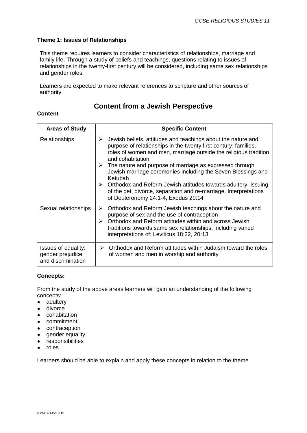This theme requires learners to consider characteristics of relationships, marriage and family life. Through a study of beliefs and teachings, questions relating to issues of relationships in the twenty-first century will be considered, including same sex relationships and gender roles.

Learners are expected to make relevant references to scripture and other sources of authority.

## **Content from a Jewish Perspective**

#### **Content**

| <b>Areas of Study</b>                                         | <b>Specific Content</b>                                                                                                                                                                                                                                                                                                                                                                                                                                                                                                                                                  |
|---------------------------------------------------------------|--------------------------------------------------------------------------------------------------------------------------------------------------------------------------------------------------------------------------------------------------------------------------------------------------------------------------------------------------------------------------------------------------------------------------------------------------------------------------------------------------------------------------------------------------------------------------|
| Relationships                                                 | Jewish beliefs, attitudes and teachings about the nature and<br>➤<br>purpose of relationships in the twenty first century: families,<br>roles of women and men, marriage outside the religious tradition<br>and cohabitation<br>The nature and purpose of marriage as expressed through<br>Jewish marriage ceremonies including the Seven Blessings and<br>Ketubah<br>Orthodox and Reform Jewish attitudes towards adultery, issuing<br>$\blacktriangleright$<br>of the get, divorce, separation and re-marriage. Interpretations<br>of Deuteronomy 24:1-4, Exodus 20:14 |
| Sexual relationships                                          | Orthodox and Reform Jewish teachings about the nature and<br>➤<br>purpose of sex and the use of contraception<br>Orthodox and Reform attitudes within and across Jewish<br>➤<br>traditions towards same sex relationships, including varied<br>interpretations of: Leviticus 18:22, 20:13                                                                                                                                                                                                                                                                                |
| Issues of equality:<br>gender prejudice<br>and discrimination | Orthodox and Reform attitudes within Judaism toward the roles<br>➤<br>of women and men in worship and authority                                                                                                                                                                                                                                                                                                                                                                                                                                                          |

#### **Concepts:**

From the study of the above areas learners will gain an understanding of the following concepts:

- adultery
- divorce
- cohabitation
- commitment
- contraception
- gender equality
- responsibilities
- roles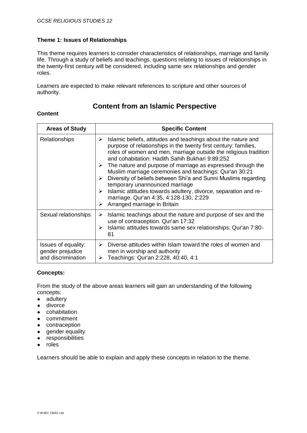This theme requires learners to consider characteristics of relationships, marriage and family life. Through a study of beliefs and teachings, questions relating to issues of relationships in the twenty-first century will be considered, including same sex relationships and gender roles.

Learners are expected to make relevant references to scripture and other sources of authority.

## **Content from an Islamic Perspective**

#### **Content**

| <b>Areas of Study</b>                                         | <b>Specific Content</b>                                                                                                                                                                                                                                                                                                                                                                                                                                                                                                                                                                                                                                                 |
|---------------------------------------------------------------|-------------------------------------------------------------------------------------------------------------------------------------------------------------------------------------------------------------------------------------------------------------------------------------------------------------------------------------------------------------------------------------------------------------------------------------------------------------------------------------------------------------------------------------------------------------------------------------------------------------------------------------------------------------------------|
| <b>Relationships</b>                                          | Islamic beliefs, attitudes and teachings about the nature and<br>➤<br>purpose of relationships in the twenty first century: families,<br>roles of women and men, marriage outside the religious tradition<br>and cohabitation: Hadith Sahih Bukhari 9:89:252<br>$\triangleright$ The nature and purpose of marriage as expressed through the<br>Muslim marriage ceremonies and teachings: Qur'an 30:21<br>Diversity of beliefs between Shi'a and Sunni Muslims regarding<br>⋗<br>temporary unannounced marriage<br>Islamic attitudes towards adultery, divorce, separation and re-<br>⋗<br>marriage. Qur'an 4:35, 4:128-130, 2:229<br>Arranged marriage in Britain<br>⋗ |
| Sexual relationships                                          | Islamic teachings about the nature and purpose of sex and the<br>➤<br>use of contraception. Qur'an 17:32<br>Islamic attitudes towards same sex relationships: Qur'an 7:80-<br>➤<br>81                                                                                                                                                                                                                                                                                                                                                                                                                                                                                   |
| Issues of equality:<br>gender prejudice<br>and discrimination | Diverse attitudes within Islam toward the roles of women and<br>➤<br>men in worship and authority<br>Teachings: Qur'an 2:228, 40:40, 4:1<br>➤                                                                                                                                                                                                                                                                                                                                                                                                                                                                                                                           |

#### **Concepts:**

From the study of the above areas learners will gain an understanding of the following concepts:

- adultery
- divorce
- cohabitation
- commitment
- contraception
- gender equality
- responsibilities
- roles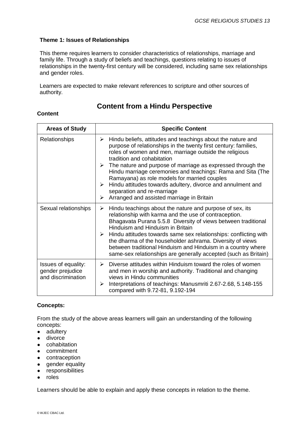This theme requires learners to consider characteristics of relationships, marriage and family life. Through a study of beliefs and teachings, questions relating to issues of relationships in the twenty-first century will be considered, including same sex relationships and gender roles.

Learners are expected to make relevant references to scripture and other sources of authority.

## **Content from a Hindu Perspective**

#### **Content**

| <b>Areas of Study</b>                                         | <b>Specific Content</b>                                                                                                                                                                                                                                                                                                                                                                                                                                                                                                                                                                            |
|---------------------------------------------------------------|----------------------------------------------------------------------------------------------------------------------------------------------------------------------------------------------------------------------------------------------------------------------------------------------------------------------------------------------------------------------------------------------------------------------------------------------------------------------------------------------------------------------------------------------------------------------------------------------------|
| <b>Relationships</b>                                          | Hindu beliefs, attitudes and teachings about the nature and<br>➤<br>purpose of relationships in the twenty first century: families,<br>roles of women and men, marriage outside the religious<br>tradition and cohabitation<br>$\triangleright$ The nature and purpose of marriage as expressed through the<br>Hindu marriage ceremonies and teachings: Rama and Sita (The<br>Ramayana) as role models for married couples<br>Hindu attitudes towards adultery, divorce and annulment and<br>$\blacktriangleright$<br>separation and re-marriage<br>Arranged and assisted marriage in Britain<br>≻ |
| Sexual relationships                                          | Hindu teachings about the nature and purpose of sex, its<br>➤<br>relationship with karma and the use of contraception.<br>Bhagavata Purana 5.5.8 Diversity of views between traditional<br>Hinduism and Hinduism in Britain<br>$\triangleright$ Hindu attitudes towards same sex relationships: conflicting with<br>the dharma of the householder ashrama. Diversity of views<br>between traditional Hinduism and Hinduism in a country where<br>same-sex relationships are generally accepted (such as Britain)                                                                                   |
| Issues of equality:<br>gender prejudice<br>and discrimination | Diverse attitudes within Hinduism toward the roles of women<br>$\triangleright$<br>and men in worship and authority. Traditional and changing<br>views in Hindu communities<br>Interpretations of teachings: Manusmriti 2.67-2.68, 5.148-155<br>➤<br>compared with 9.72-81, 9.192-194                                                                                                                                                                                                                                                                                                              |

#### **Concepts:**

From the study of the above areas learners will gain an understanding of the following concepts:

- adultery
- divorce
- cohabitation
- commitment
- contraception
- gender equality
- responsibilities
- roles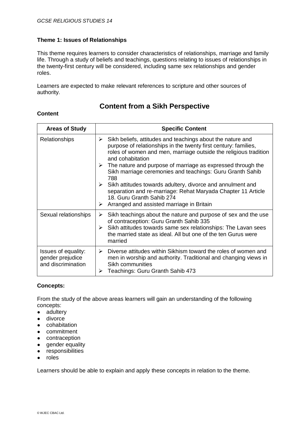This theme requires learners to consider characteristics of relationships, marriage and family life. Through a study of beliefs and teachings, questions relating to issues of relationships in the twenty-first century will be considered, including same sex relationships and gender roles.

Learners are expected to make relevant references to scripture and other sources of authority.

## **Content from a Sikh Perspective**

#### **Content**

| <b>Areas of Study</b>                                         | <b>Specific Content</b>                                                                                                                                                                                                                                                                                                                                                                                                                                                                                                                                                                          |
|---------------------------------------------------------------|--------------------------------------------------------------------------------------------------------------------------------------------------------------------------------------------------------------------------------------------------------------------------------------------------------------------------------------------------------------------------------------------------------------------------------------------------------------------------------------------------------------------------------------------------------------------------------------------------|
| Relationships                                                 | Sikh beliefs, attitudes and teachings about the nature and<br>➤<br>purpose of relationships in the twenty first century: families,<br>roles of women and men, marriage outside the religious tradition<br>and cohabitation<br>$\triangleright$ The nature and purpose of marriage as expressed through the<br>Sikh marriage ceremonies and teachings: Guru Granth Sahib<br>788<br>Sikh attitudes towards adultery, divorce and annulment and<br>➤<br>separation and re-marriage: Rehat Maryada Chapter 11 Article<br>18. Guru Granth Sahib 274<br>Arranged and assisted marriage in Britain<br>➤ |
| Sexual relationships                                          | Sikh teachings about the nature and purpose of sex and the use<br>➤<br>of contraception: Guru Granth Sahib 335<br>Sikh attitudes towards same sex relationships: The Lavan sees<br>➤<br>the married state as ideal. All but one of the ten Gurus were<br>married                                                                                                                                                                                                                                                                                                                                 |
| Issues of equality:<br>gender prejudice<br>and discrimination | Diverse attitudes within Sikhism toward the roles of women and<br>➤<br>men in worship and authority. Traditional and changing views in<br>Sikh communities<br>Teachings: Guru Granth Sahib 473<br>➤                                                                                                                                                                                                                                                                                                                                                                                              |

#### **Concepts:**

From the study of the above areas learners will gain an understanding of the following concepts:

- adultery
- divorce
- cohabitation
- commitment
- contraception
- gender equality
- responsibilities
- roles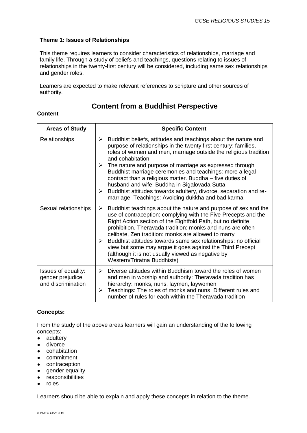This theme requires learners to consider characteristics of relationships, marriage and family life. Through a study of beliefs and teachings, questions relating to issues of relationships in the twenty-first century will be considered, including same sex relationships and gender roles.

Learners are expected to make relevant references to scripture and other sources of authority.

## **Content from a Buddhist Perspective**

#### **Content**

| <b>Areas of Study</b>                                         | <b>Specific Content</b>                                                                                                                                                                                                                                                                                                                                                                                                                                                                                                                                                                                            |
|---------------------------------------------------------------|--------------------------------------------------------------------------------------------------------------------------------------------------------------------------------------------------------------------------------------------------------------------------------------------------------------------------------------------------------------------------------------------------------------------------------------------------------------------------------------------------------------------------------------------------------------------------------------------------------------------|
| <b>Relationships</b>                                          | Buddhist beliefs, attitudes and teachings about the nature and<br>➤<br>purpose of relationships in the twenty first century: families,<br>roles of women and men, marriage outside the religious tradition<br>and cohabitation<br>$\triangleright$ The nature and purpose of marriage as expressed through<br>Buddhist marriage ceremonies and teachings: more a legal<br>contract than a religious matter. Buddha - five duties of<br>husband and wife: Buddha in Sigalovada Sutta<br>Buddhist attitudes towards adultery, divorce, separation and re-<br>≻<br>marriage. Teachings: Avoiding dukkha and bad karma |
| Sexual relationships                                          | Buddhist teachings about the nature and purpose of sex and the<br>➤<br>use of contraception: complying with the Five Precepts and the<br>Right Action section of the Eightfold Path, but no definite<br>prohibition. Theravada tradition: monks and nuns are often<br>celibate, Zen tradition: monks are allowed to marry<br>Buddhist attitudes towards same sex relationships: no official<br>➤<br>view but some may argue it goes against the Third Precept<br>(although it is not usually viewed as negative by<br>Western/Triratna Buddhists)                                                                  |
| Issues of equality:<br>gender prejudice<br>and discrimination | Diverse attitudes within Buddhism toward the roles of women<br>➤<br>and men in worship and authority: Theravada tradition has<br>hierarchy: monks, nuns, laymen, laywomen<br>Teachings: The roles of monks and nuns. Different rules and<br>➤<br>number of rules for each within the Theravada tradition                                                                                                                                                                                                                                                                                                           |

#### **Concepts:**

From the study of the above areas learners will gain an understanding of the following concepts:

- adultery
- divorce
- cohabitation
- commitment
- contraception
- gender equality
- responsibilities
- roles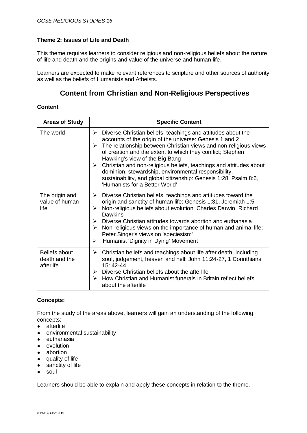This theme requires learners to consider religious and non-religious beliefs about the nature of life and death and the origins and value of the universe and human life.

Learners are expected to make relevant references to scripture and other sources of authority as well as the beliefs of Humanists and Atheists.

## **Content from Christian and Non-Religious Perspectives**

#### **Content**

| <b>Areas of Study</b>                       | <b>Specific Content</b>                                                                                                                                                                                                                                                                                                                                                                                                                                                                                                                                                            |
|---------------------------------------------|------------------------------------------------------------------------------------------------------------------------------------------------------------------------------------------------------------------------------------------------------------------------------------------------------------------------------------------------------------------------------------------------------------------------------------------------------------------------------------------------------------------------------------------------------------------------------------|
| The world                                   | $\triangleright$ Diverse Christian beliefs, teachings and attitudes about the<br>accounts of the origin of the universe: Genesis 1 and 2<br>$\triangleright$ The relationship between Christian views and non-religious views<br>of creation and the extent to which they conflict; Stephen<br>Hawking's view of the Big Bang<br>$\triangleright$ Christian and non-religious beliefs, teachings and attitudes about<br>dominion, stewardship, environmental responsibility,<br>sustainability, and global citizenship: Genesis 1:28, Psalm 8:6,<br>'Humanists for a Better World' |
| The origin and<br>value of human<br>life    | Diverse Christian beliefs, teachings and attitudes toward the<br>≻<br>origin and sanctity of human life: Genesis 1:31, Jeremiah 1:5<br>Non-religious beliefs about evolution; Charles Darwin, Richard<br>➤<br>Dawkins<br>$\triangleright$ Diverse Christian attitudes towards abortion and euthanasia<br>$\triangleright$ Non-religious views on the importance of human and animal life;<br>Peter Singer's views on 'speciesism'<br>Humanist 'Dignity in Dying' Movement<br>➤                                                                                                     |
| Beliefs about<br>death and the<br>afterlife | $\triangleright$ Christian beliefs and teachings about life after death, including<br>soul, judgement, heaven and hell: John 11:24-27, 1 Corinthians<br>$15.42 - 44$<br>$\triangleright$ Diverse Christian beliefs about the afterlife<br>$\triangleright$ How Christian and Humanist funerals in Britain reflect beliefs<br>about the afterlife                                                                                                                                                                                                                                   |

#### **Concepts:**

From the study of the areas above, learners will gain an understanding of the following concepts:

- afterlife
- environmental sustainability
- euthanasia
- evolution
- abortion
- quality of life
- sanctity of life
- soul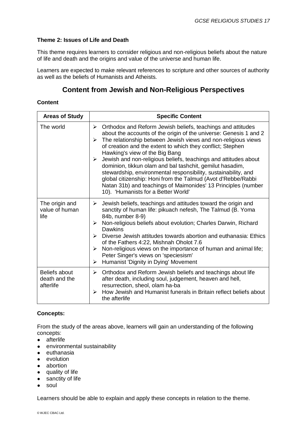This theme requires learners to consider religious and non-religious beliefs about the nature of life and death and the origins and value of the universe and human life.

Learners are expected to make relevant references to scripture and other sources of authority as well as the beliefs of Humanists and Atheists.

## **Content from Jewish and Non-Religious Perspectives**

#### **Content**

| <b>Areas of Study</b>                       | <b>Specific Content</b>                                                                                                                                                                                                                                                                                                                                                                                                                                                                                                                                                                                                                                                                   |
|---------------------------------------------|-------------------------------------------------------------------------------------------------------------------------------------------------------------------------------------------------------------------------------------------------------------------------------------------------------------------------------------------------------------------------------------------------------------------------------------------------------------------------------------------------------------------------------------------------------------------------------------------------------------------------------------------------------------------------------------------|
| The world                                   | Orthodox and Reform Jewish beliefs, teachings and attitudes<br>≻<br>about the accounts of the origin of the universe: Genesis 1 and 2<br>The relationship between Jewish views and non-religious views<br>➤<br>of creation and the extent to which they conflict; Stephen<br>Hawking's view of the Big Bang<br>Jewish and non-religious beliefs, teachings and attitudes about<br>➤<br>dominion, tikkun olam and bal tashchit, gemilut hasadim,<br>stewardship, environmental responsibility, sustainability, and<br>global citizenship: Honi from the Talmud (Avot d'Rebbe/Rabbi<br>Natan 31b) and teachings of Maimonides' 13 Principles (number<br>10). 'Humanists for a Better World' |
| The origin and<br>value of human<br>life    | Jewish beliefs, teachings and attitudes toward the origin and<br>≻<br>sanctity of human life: pikuach nefesh, The Talmud (B. Yoma<br>84b, number 8-9)<br>Non-religious beliefs about evolution; Charles Darwin, Richard<br>➤<br><b>Dawkins</b><br>Diverse Jewish attitudes towards abortion and euthanasia: Ethics<br>$\triangleright$<br>of the Fathers 4:22, Mishnah Oholot 7.6<br>Non-religious views on the importance of human and animal life;<br>$\blacktriangleright$<br>Peter Singer's views on 'speciesism'<br>Humanist 'Dignity in Dying' Movement<br>➤                                                                                                                        |
| Beliefs about<br>death and the<br>afterlife | $\triangleright$ Orthodox and Reform Jewish beliefs and teachings about life<br>after death, including soul, judgement, heaven and hell,<br>resurrection, sheol, olam ha-ba<br>How Jewish and Humanist funerals in Britain reflect beliefs about<br>$\blacktriangleright$<br>the afterlife                                                                                                                                                                                                                                                                                                                                                                                                |

#### **Concepts:**

From the study of the areas above, learners will gain an understanding of the following concepts:

- afterlife
- environmental sustainability
- euthanasia
- evolution
- abortion
- quality of life
- sanctity of life
- soul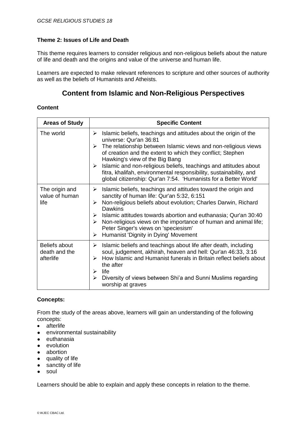This theme requires learners to consider religious and non-religious beliefs about the nature of life and death and the origins and value of the universe and human life.

Learners are expected to make relevant references to scripture and other sources of authority as well as the beliefs of Humanists and Atheists.

### **Content from Islamic and Non-Religious Perspectives**

#### **Content**

| <b>Areas of Study</b>                       | <b>Specific Content</b>                                                                                                                                                                                                                                                                                                                                                                                                                                                                                      |
|---------------------------------------------|--------------------------------------------------------------------------------------------------------------------------------------------------------------------------------------------------------------------------------------------------------------------------------------------------------------------------------------------------------------------------------------------------------------------------------------------------------------------------------------------------------------|
| The world                                   | Islamic beliefs, teachings and attitudes about the origin of the<br>➤<br>universe: Qur'an 36:81<br>The relationship between Islamic views and non-religious views<br>➤<br>of creation and the extent to which they conflict; Stephen<br>Hawking's view of the Big Bang<br>Islamic and non-religious beliefs, teachings and attitudes about<br>$\blacktriangleright$<br>fitra, khalifah, environmental responsibility, sustainability, and<br>global citizenship: Qur'an 7:54. 'Humanists for a Better World' |
| The origin and<br>value of human<br>life    | Islamic beliefs, teachings and attitudes toward the origin and<br>➤<br>sanctity of human life: Qur'an 5:32, 6:151<br>Non-religious beliefs about evolution; Charles Darwin, Richard<br>➤<br><b>Dawkins</b><br>Islamic attitudes towards abortion and euthanasia; Qur'an 30:40<br>$\blacktriangleright$<br>Non-religious views on the importance of human and animal life;<br>$\blacktriangleright$<br>Peter Singer's views on 'speciesism'<br>Humanist 'Dignity in Dying' Movement<br>➤                      |
| Beliefs about<br>death and the<br>afterlife | Islamic beliefs and teachings about life after death, including<br>➤<br>soul, judgement, akhirah, heaven and hell: Qur'an 46:33, 3:16<br>How Islamic and Humanist funerals in Britain reflect beliefs about<br>➤<br>the after<br>life<br>➤<br>Diversity of views between Shi'a and Sunni Muslims regarding<br>➤<br>worship at graves                                                                                                                                                                         |

#### **Concepts:**

From the study of the areas above, learners will gain an understanding of the following concepts:

- afterlife
- environmental sustainability
- euthanasia
- evolution
- abortion
- quality of life
- sanctity of life
- soul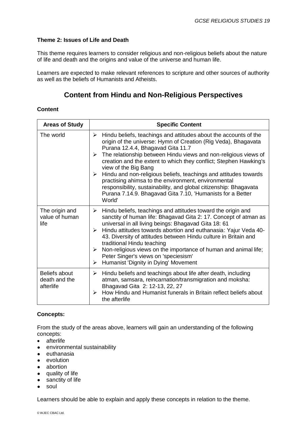This theme requires learners to consider religious and non-religious beliefs about the nature of life and death and the origins and value of the universe and human life.

Learners are expected to make relevant references to scripture and other sources of authority as well as the beliefs of Humanists and Atheists.

## **Content from Hindu and Non-Religious Perspectives**

#### **Content**

| <b>Areas of Study</b>                              | <b>Specific Content</b>                                                                                                                                                                                                                                                                                                                                                                                                                                                                                                                                                                                                                            |
|----------------------------------------------------|----------------------------------------------------------------------------------------------------------------------------------------------------------------------------------------------------------------------------------------------------------------------------------------------------------------------------------------------------------------------------------------------------------------------------------------------------------------------------------------------------------------------------------------------------------------------------------------------------------------------------------------------------|
| The world                                          | Hindu beliefs, teachings and attitudes about the accounts of the<br>➤<br>origin of the universe: Hymn of Creation (Rig Veda), Bhagavata<br>Purana 12.4.4, Bhagavad Gita 11.7<br>The relationship between Hindu views and non-religious views of<br>➤<br>creation and the extent to which they conflict; Stephen Hawking's<br>view of the Big Bang<br>Hindu and non-religious beliefs, teachings and attitudes towards<br>$\blacktriangleright$<br>practising ahimsa to the environment, environmental<br>responsibility, sustainability, and global citizenship: Bhagavata<br>Purana 7.14.9. Bhagavad Gita 7.10, 'Humanists for a Better<br>World' |
| The origin and<br>value of human<br>life           | Hindu beliefs, teachings and attitudes toward the origin and<br>➤<br>sanctity of human life: Bhagavad Gita 2: 17. Concept of atman as<br>universal in all living beings: Bhagavad Gita 18: 61<br>Hindu attitudes towards abortion and euthanasia: Yajur Veda 40-<br>$\blacktriangleright$<br>43. Diversity of attitudes between Hindu culture in Britain and<br>traditional Hindu teaching<br>Non-religious views on the importance of human and animal life;<br>➤<br>Peter Singer's views on 'speciesism'<br>Humanist 'Dignity in Dying' Movement<br>➤                                                                                            |
| <b>Beliefs about</b><br>death and the<br>afterlife | Hindu beliefs and teachings about life after death, including<br>➤<br>atman, samsara, reincarnation/transmigration and moksha:<br>Bhagavad Gita 2: 12-13, 22, 27<br>How Hindu and Humanist funerals in Britain reflect beliefs about<br>$\blacktriangleright$<br>the afterlife                                                                                                                                                                                                                                                                                                                                                                     |

#### **Concepts:**

From the study of the areas above, learners will gain an understanding of the following concepts:

- afterlife
- environmental sustainability
- euthanasia
- evolution
- abortion
- quality of life
- sanctity of life
- soul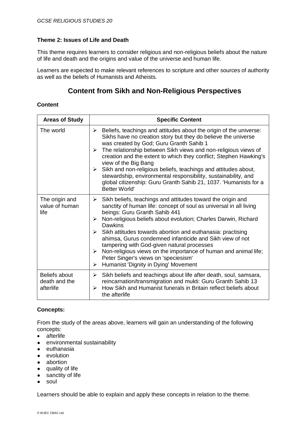This theme requires learners to consider religious and non-religious beliefs about the nature of life and death and the origins and value of the universe and human life.

Learners are expected to make relevant references to scripture and other sources of authority as well as the beliefs of Humanists and Atheists.

## **Content from Sikh and Non-Religious Perspectives**

#### **Content**

| <b>Areas of Study</b>                       | <b>Specific Content</b>                                                                                                                                                                                                                                                                                                                                                                                                                                                                                                                                                                                                                                 |
|---------------------------------------------|---------------------------------------------------------------------------------------------------------------------------------------------------------------------------------------------------------------------------------------------------------------------------------------------------------------------------------------------------------------------------------------------------------------------------------------------------------------------------------------------------------------------------------------------------------------------------------------------------------------------------------------------------------|
| The world                                   | Beliefs, teachings and attitudes about the origin of the universe:<br>➤<br>Sikhs have no creation story but they do believe the universe<br>was created by God; Guru Granth Sahib 1<br>The relationship between Sikh views and non-religious views of<br>$\blacktriangleright$<br>creation and the extent to which they conflict; Stephen Hawking's<br>view of the Big Bang<br>Sikh and non-religious beliefs, teachings and attitudes about,<br>$\blacktriangleright$<br>stewardship, environmental responsibility, sustainability, and<br>global citizenship: Guru Granth Sahib 21, 1037. 'Humanists for a<br><b>Better World'</b>                    |
| The origin and<br>value of human<br>life    | Sikh beliefs, teachings and attitudes toward the origin and<br>≻<br>sanctity of human life: concept of soul as universal in all living<br>beings: Guru Granth Sahib 441<br>Non-religious beliefs about evolution; Charles Darwin, Richard<br>≻<br>Dawkins<br>$\triangleright$ Sikh attitudes towards abortion and euthanasia: practising<br>ahimsa, Gurus condemned infanticide and Sikh view of not<br>tampering with God-given natural processes<br>Non-religious views on the importance of human and animal life;<br>$\blacktriangleright$<br>Peter Singer's views on 'speciesism'<br>Humanist 'Dignity in Dying' Movement<br>$\blacktriangleright$ |
| Beliefs about<br>death and the<br>afterlife | Sikh beliefs and teachings about life after death, soul, samsara,<br>≻<br>reincarnation/transmigration and mukti: Guru Granth Sahib 13<br>How Sikh and Humanist funerals in Britain reflect beliefs about<br>➤<br>the afterlife                                                                                                                                                                                                                                                                                                                                                                                                                         |

#### **Concepts:**

From the study of the areas above, learners will gain an understanding of the following concepts:

- afterlife
- environmental sustainability
- euthanasia
- evolution
- abortion
- quality of life
- sanctity of life
- soul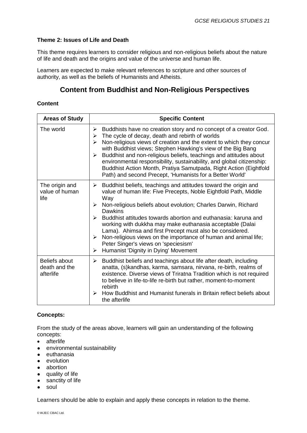This theme requires learners to consider religious and non-religious beliefs about the nature of life and death and the origins and value of the universe and human life.

Learners are expected to make relevant references to scripture and other sources of authority, as well as the beliefs of Humanists and Atheists.

## **Content from Buddhist and Non-Religious Perspectives**

#### **Content**

| <b>Areas of Study</b>                              | <b>Specific Content</b>                                                                                                                                                                                                                                                                                                                                                                                                                                                                                                                                                                               |
|----------------------------------------------------|-------------------------------------------------------------------------------------------------------------------------------------------------------------------------------------------------------------------------------------------------------------------------------------------------------------------------------------------------------------------------------------------------------------------------------------------------------------------------------------------------------------------------------------------------------------------------------------------------------|
| The world                                          | Buddhists have no creation story and no concept of a creator God.<br>➤<br>The cycle of decay, death and rebirth of worlds<br>➤<br>Non-religious views of creation and the extent to which they concur<br>⋗<br>with Buddhist views; Stephen Hawking's view of the Big Bang<br>Buddhist and non-religious beliefs, teachings and attitudes about<br>➤<br>environmental responsibility, sustainability, and global citizenship:<br>Buddhist Action Month, Pratiya Samutpada, Right Action (Eightfold<br>Path) and second Precept, 'Humanists for a Better World'                                         |
| The origin and<br>value of human<br>life           | Buddhist beliefs, teachings and attitudes toward the origin and<br>➤<br>value of human life: Five Precepts, Noble Eightfold Path, Middle<br>Way<br>Non-religious beliefs about evolution; Charles Darwin, Richard<br>➤<br><b>Dawkins</b><br>Buddhist attitudes towards abortion and euthanasia: karuna and<br>➤<br>working with dukkha may make euthanasia acceptable (Dalai<br>Lama). Ahimsa and first Precept must also be considered.<br>Non-religious views on the importance of human and animal life;<br>➤<br>Peter Singer's views on 'speciesism'<br>Humanist 'Dignity in Dying' Movement<br>➤ |
| <b>Beliefs about</b><br>death and the<br>afterlife | Buddhist beliefs and teachings about life after death, including<br>➤<br>anatta, (s) kandhas, karma, samsara, nirvana, re-birth, realms of<br>existence. Diverse views of Triratna Tradition which is not required<br>to believe in life-to-life re-birth but rather, moment-to-moment<br>rebirth<br>How Buddhist and Humanist funerals in Britain reflect beliefs about<br>⋗<br>the afterlife                                                                                                                                                                                                        |

#### **Concepts:**

From the study of the areas above, learners will gain an understanding of the following concepts:

- afterlife
- environmental sustainability
- euthanasia
- evolution
- abortion
- quality of life
- sanctity of life
- soul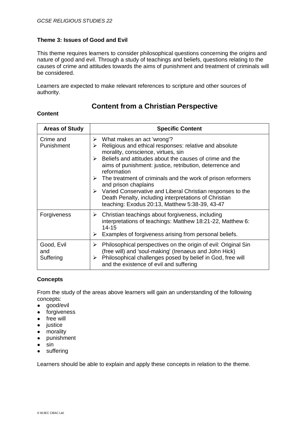This theme requires learners to consider philosophical questions concerning the origins and nature of good and evil. Through a study of teachings and beliefs, questions relating to the causes of crime and attitudes towards the aims of punishment and treatment of criminals will be considered.

Learners are expected to make relevant references to scripture and other sources of authority.

## **Content from a Christian Perspective**

#### **Content**

| <b>Areas of Study</b>          | <b>Specific Content</b>                                                                                                                                                                                                                                                                                                                                                                                                                                                                                                                                                                                           |
|--------------------------------|-------------------------------------------------------------------------------------------------------------------------------------------------------------------------------------------------------------------------------------------------------------------------------------------------------------------------------------------------------------------------------------------------------------------------------------------------------------------------------------------------------------------------------------------------------------------------------------------------------------------|
| Crime and<br>Punishment        | $\triangleright$ What makes an act 'wrong'?<br>Religious and ethical responses: relative and absolute<br>➤<br>morality, conscience, virtues, sin<br>Beliefs and attitudes about the causes of crime and the<br>$\blacktriangleright$<br>aims of punishment: justice, retribution, deterrence and<br>reformation<br>$\triangleright$ The treatment of criminals and the work of prison reformers<br>and prison chaplains<br>$\triangleright$ Varied Conservative and Liberal Christian responses to the<br>Death Penalty, including interpretations of Christian<br>teaching: Exodus 20:13, Matthew 5:38-39, 43-47 |
| Forgiveness                    | Christian teachings about forgiveness, including<br>➤<br>interpretations of teachings: Matthew 18:21-22, Matthew 6:<br>14-15<br>Examples of forgiveness arising from personal beliefs.<br>➤                                                                                                                                                                                                                                                                                                                                                                                                                       |
| Good, Evil<br>and<br>Suffering | Philosophical perspectives on the origin of evil: Original Sin<br>➤<br>(free will) and 'soul-making' (Irenaeus and John Hick)<br>Philosophical challenges posed by belief in God, free will<br>➤<br>and the existence of evil and suffering                                                                                                                                                                                                                                                                                                                                                                       |

#### **Concepts**

From the study of the areas above learners will gain an understanding of the following concepts:

- good/evil
- forgiveness
- free will
- justice
- morality
- punishment
- sin
- suffering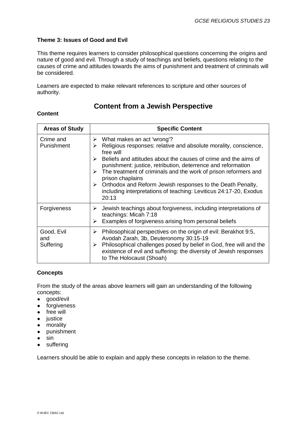This theme requires learners to consider philosophical questions concerning the origins and nature of good and evil. Through a study of teachings and beliefs, questions relating to the causes of crime and attitudes towards the aims of punishment and treatment of criminals will be considered.

Learners are expected to make relevant references to scripture and other sources of authority.

### **Content from a Jewish Perspective**

#### **Content**

| <b>Areas of Study</b>          | <b>Specific Content</b>                                                                                                                                                                                                                                                                                                                                                                                                                                                                                                                                |
|--------------------------------|--------------------------------------------------------------------------------------------------------------------------------------------------------------------------------------------------------------------------------------------------------------------------------------------------------------------------------------------------------------------------------------------------------------------------------------------------------------------------------------------------------------------------------------------------------|
| Crime and<br>Punishment        | $\triangleright$ What makes an act 'wrong'?<br>Religious responses: relative and absolute morality, conscience,<br>➤<br>free will<br>Beliefs and attitudes about the causes of crime and the aims of<br>$\blacktriangleright$<br>punishment: justice, retribution, deterrence and reformation<br>The treatment of criminals and the work of prison reformers and<br>➤<br>prison chaplains<br>$\triangleright$ Orthodox and Reform Jewish responses to the Death Penalty,<br>including interpretations of teaching: Leviticus 24:17-20, Exodus<br>20:13 |
| Forgiveness                    | Jewish teachings about forgiveness, including interpretations of<br>➤<br>teachings: Micah 7:18<br>Examples of forgiveness arising from personal beliefs<br>➤                                                                                                                                                                                                                                                                                                                                                                                           |
| Good, Evil<br>and<br>Suffering | Philosophical perspectives on the origin of evil: Berakhot 9:5,<br>➤<br>Avodah Zarah, 3b, Deuteronomy 30:15-19<br>Philosophical challenges posed by belief in God, free will and the<br>➤<br>existence of evil and suffering: the diversity of Jewish responses<br>to The Holocaust (Shoah)                                                                                                                                                                                                                                                            |

#### **Concepts**

From the study of the areas above learners will gain an understanding of the following concepts:

- good/evil
- forgiveness
- free will
- justice
- morality
- punishment
- sin
- suffering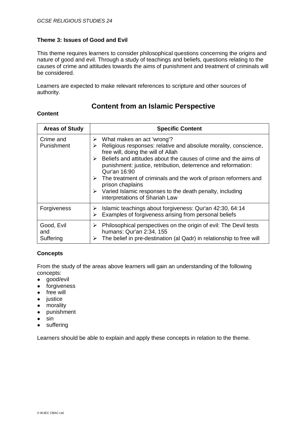This theme requires learners to consider philosophical questions concerning the origins and nature of good and evil. Through a study of teachings and beliefs, questions relating to the causes of crime and attitudes towards the aims of punishment and treatment of criminals will be considered.

Learners are expected to make relevant references to scripture and other sources of authority.

## **Content from an Islamic Perspective**

#### **Content**

| <b>Areas of Study</b>          | <b>Specific Content</b>                                                                                                                                                                                                                                                                                                                                                                                                                                                                                                                    |
|--------------------------------|--------------------------------------------------------------------------------------------------------------------------------------------------------------------------------------------------------------------------------------------------------------------------------------------------------------------------------------------------------------------------------------------------------------------------------------------------------------------------------------------------------------------------------------------|
| Crime and<br>Punishment        | $\triangleright$ What makes an act 'wrong'?<br>Religious responses: relative and absolute morality, conscience,<br>⋗<br>free will, doing the will of Allah<br>Beliefs and attitudes about the causes of crime and the aims of<br>➤<br>punishment: justice, retribution, deterrence and reformation:<br>Qur'an 16:90<br>$\triangleright$ The treatment of criminals and the work of prison reformers and<br>prison chaplains<br>$\triangleright$ Varied Islamic responses to the death penalty, including<br>interpretations of Shariah Law |
| Forgiveness                    | Islamic teachings about forgiveness: Qur'an 42:30, 64:14<br>➤<br>Examples of forgiveness arising from personal beliefs<br>≻                                                                                                                                                                                                                                                                                                                                                                                                                |
| Good, Evil<br>and<br>Suffering | Philosophical perspectives on the origin of evil: The Devil tests<br>➤<br>humans: Qur'an 2:34, 155<br>The belief in pre-destination (al Qadr) in relationship to free will<br>➤                                                                                                                                                                                                                                                                                                                                                            |

#### **Concepts**

From the study of the areas above learners will gain an understanding of the following concepts:

- good/evil
- forgiveness
- free will
- justice
- morality
- punishment
- $\bullet$  sin
- suffering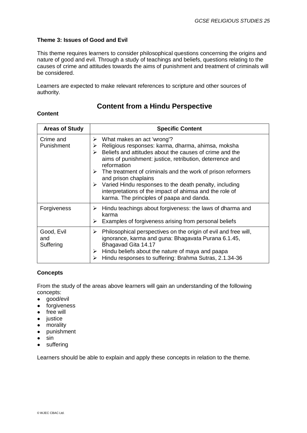This theme requires learners to consider philosophical questions concerning the origins and nature of good and evil. Through a study of teachings and beliefs, questions relating to the causes of crime and attitudes towards the aims of punishment and treatment of criminals will be considered.

Learners are expected to make relevant references to scripture and other sources of authority.

## **Content from a Hindu Perspective**

#### **Content**

| <b>Areas of Study</b>          | <b>Specific Content</b>                                                                                                                                                                                                                                                                                                                                                                                                                                                                                                                                          |
|--------------------------------|------------------------------------------------------------------------------------------------------------------------------------------------------------------------------------------------------------------------------------------------------------------------------------------------------------------------------------------------------------------------------------------------------------------------------------------------------------------------------------------------------------------------------------------------------------------|
| Crime and<br>Punishment        | $\triangleright$ What makes an act 'wrong'?<br>Religious responses: karma, dharma, ahimsa, moksha<br>➤<br>Beliefs and attitudes about the causes of crime and the<br>$\blacktriangleright$<br>aims of punishment: justice, retribution, deterrence and<br>reformation<br>$\triangleright$ The treatment of criminals and the work of prison reformers<br>and prison chaplains<br>$\triangleright$ Varied Hindu responses to the death penalty, including<br>interpretations of the impact of ahimsa and the role of<br>karma. The principles of paapa and danda. |
| Forgiveness                    | $\triangleright$ Hindu teachings about forgiveness: the laws of dharma and<br>karma<br>Examples of forgiveness arising from personal beliefs<br>➤                                                                                                                                                                                                                                                                                                                                                                                                                |
| Good, Evil<br>and<br>Suffering | Philosophical perspectives on the origin of evil and free will,<br>➤<br>ignorance, karma and guna: Bhagavata Purana 6.1.45,<br>Bhagavad Gita 14.17<br>Hindu beliefs about the nature of maya and paapa<br>➤<br>Hindu responses to suffering: Brahma Sutras, 2.1.34-36<br>⋗                                                                                                                                                                                                                                                                                       |

#### **Concepts**

From the study of the areas above learners will gain an understanding of the following concepts:

- good/evil
- forgiveness
- free will
- justice
- morality
- punishment
- sin
- suffering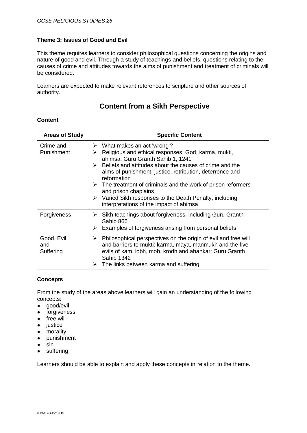This theme requires learners to consider philosophical questions concerning the origins and nature of good and evil. Through a study of teachings and beliefs, questions relating to the causes of crime and attitudes towards the aims of punishment and treatment of criminals will be considered.

Learners are expected to make relevant references to scripture and other sources of authority.

## **Content from a Sikh Perspective**

| <b>Areas of Study</b>          | <b>Specific Content</b>                                                                                                                                                                                                                                                                                                                                                                                                                                                          |
|--------------------------------|----------------------------------------------------------------------------------------------------------------------------------------------------------------------------------------------------------------------------------------------------------------------------------------------------------------------------------------------------------------------------------------------------------------------------------------------------------------------------------|
| Crime and<br>Punishment        | What makes an act 'wrong'?<br>➤<br>Religious and ethical responses: God, karma, mukti,<br>⋗<br>ahimsa: Guru Granth Sahib 1, 1241<br>Beliefs and attitudes about the causes of crime and the<br>↘<br>aims of punishment: justice, retribution, deterrence and<br>reformation<br>The treatment of criminals and the work of prison reformers<br>➤<br>and prison chaplains<br>Varied Sikh responses to the Death Penalty, including<br>➤<br>interpretations of the impact of ahimsa |
| Forgiveness                    | Sikh teachings about forgiveness, including Guru Granth<br>➤<br>Sahib 866<br>Examples of forgiveness arising from personal beliefs<br>➤                                                                                                                                                                                                                                                                                                                                          |
| Good, Evil<br>and<br>Suffering | Philosophical perspectives on the origin of evil and free will<br>➤<br>and barriers to mukti: karma, maya, manmukh and the five<br>evils of kam, lobh, moh, krodh and ahankar: Guru Granth<br><b>Sahib 1342</b><br>The links between karma and suffering                                                                                                                                                                                                                         |

#### **Content**

#### **Concepts**

From the study of the areas above learners will gain an understanding of the following concepts:

- good/evil
- forgiveness
- free will
- justice
- morality
- punishment
- sin
- suffering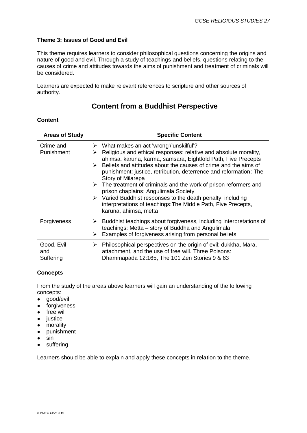This theme requires learners to consider philosophical questions concerning the origins and nature of good and evil. Through a study of teachings and beliefs, questions relating to the causes of crime and attitudes towards the aims of punishment and treatment of criminals will be considered.

Learners are expected to make relevant references to scripture and other sources of authority.

## **Content from a Buddhist Perspective**

#### **Content**

| <b>Areas of Study</b>          | <b>Specific Content</b>                                                                                                                                                                                                                                                                                                                                                                                                                                                                                                                                                                                                                                     |
|--------------------------------|-------------------------------------------------------------------------------------------------------------------------------------------------------------------------------------------------------------------------------------------------------------------------------------------------------------------------------------------------------------------------------------------------------------------------------------------------------------------------------------------------------------------------------------------------------------------------------------------------------------------------------------------------------------|
| Crime and<br>Punishment        | What makes an act 'wrong'/'unskilful'?<br>➤<br>Religious and ethical responses: relative and absolute morality,<br>➤<br>ahimsa, karuna, karma, samsara, Eightfold Path, Five Precepts<br>Beliefs and attitudes about the causes of crime and the aims of<br>➤<br>punishment: justice, retribution, deterrence and reformation: The<br>Story of Milarepa<br>$\triangleright$ The treatment of criminals and the work of prison reformers and<br>prison chaplains: Angulimala Society<br>$\triangleright$ Varied Buddhist responses to the death penalty, including<br>interpretations of teachings: The Middle Path, Five Precepts,<br>karuna, ahimsa, metta |
| Forgiveness                    | Buddhist teachings about forgiveness, including interpretations of<br>➤<br>teachings: Metta - story of Buddha and Angulimala<br>Examples of forgiveness arising from personal beliefs<br>➤                                                                                                                                                                                                                                                                                                                                                                                                                                                                  |
| Good, Evil<br>and<br>Suffering | Philosophical perspectives on the origin of evil: dukkha, Mara,<br>➤<br>attachment, and the use of free will. Three Poisons:<br>Dhammapada 12:165, The 101 Zen Stories 9 & 63                                                                                                                                                                                                                                                                                                                                                                                                                                                                               |

#### **Concepts**

From the study of the areas above learners will gain an understanding of the following concepts:

- good/evil
- forgiveness
- free will
- justice
- morality
- punishment
- sin
- suffering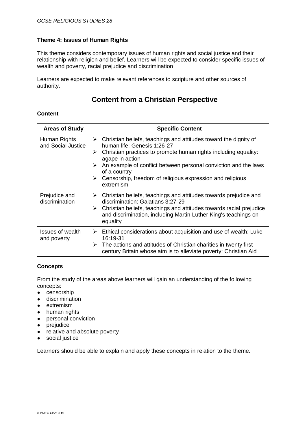This theme considers contemporary issues of human rights and social justice and their relationship with religion and belief. Learners will be expected to consider specific issues of wealth and poverty, racial prejudice and discrimination.

Learners are expected to make relevant references to scripture and other sources of authority.

## **Content from a Christian Perspective**

#### **Content**

| <b>Areas of Study</b>                  | <b>Specific Content</b>                                                                                                                                                                                                                                                                                                                                                                        |
|----------------------------------------|------------------------------------------------------------------------------------------------------------------------------------------------------------------------------------------------------------------------------------------------------------------------------------------------------------------------------------------------------------------------------------------------|
| Human Rights<br>and Social Justice     | $\triangleright$ Christian beliefs, teachings and attitudes toward the dignity of<br>human life: Genesis 1:26-27<br>Christian practices to promote human rights including equality:<br>➤<br>agape in action<br>An example of conflict between personal conviction and the laws<br>➤<br>of a country<br>$\triangleright$ Censorship, freedom of religious expression and religious<br>extremism |
| Prejudice and<br>discrimination        | Christian beliefs, teachings and attitudes towards prejudice and<br>≻<br>discrimination: Galatians 3:27-29<br>Christian beliefs, teachings and attitudes towards racial prejudice<br>➤<br>and discrimination, including Martin Luther King's teachings on<br>equality                                                                                                                          |
| <b>Issues of wealth</b><br>and poverty | $\triangleright$ Ethical considerations about acquisition and use of wealth: Luke<br>16:19-31<br>The actions and attitudes of Christian charities in twenty first<br>≻<br>century Britain whose aim is to alleviate poverty: Christian Aid                                                                                                                                                     |

#### **Concepts**

From the study of the areas above learners will gain an understanding of the following concepts:

- censorship
- discrimination
- extremism
- human rights
- personal conviction
- prejudice
- relative and absolute poverty
- social justice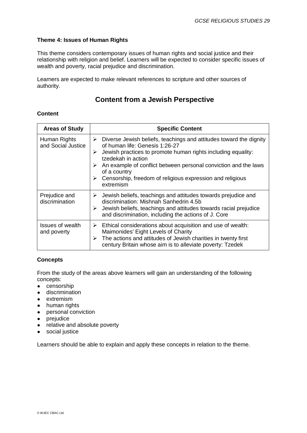This theme considers contemporary issues of human rights and social justice and their relationship with religion and belief. Learners will be expected to consider specific issues of wealth and poverty, racial prejudice and discrimination.

Learners are expected to make relevant references to scripture and other sources of authority.

## **Content from a Jewish Perspective**

#### **Content**

| <b>Areas of Study</b>                  | <b>Specific Content</b>                                                                                                                                                                                                                                                                                                                                                     |
|----------------------------------------|-----------------------------------------------------------------------------------------------------------------------------------------------------------------------------------------------------------------------------------------------------------------------------------------------------------------------------------------------------------------------------|
| Human Rights<br>and Social Justice     | Diverse Jewish beliefs, teachings and attitudes toward the dignity<br>➤<br>of human life: Genesis 1:26-27<br>Jewish practices to promote human rights including equality:<br>≻<br>tzedekah in action<br>An example of conflict between personal conviction and the laws<br>➤<br>of a country<br>Censorship, freedom of religious expression and religious<br>➤<br>extremism |
| Prejudice and<br>discrimination        | Jewish beliefs, teachings and attitudes towards prejudice and<br>➤<br>discrimination: Mishnah Sanhedrin 4.5b<br>Jewish beliefs, teachings and attitudes towards racial prejudice<br>➤<br>and discrimination, including the actions of J. Core                                                                                                                               |
| <b>Issues of wealth</b><br>and poverty | Ethical considerations about acquisition and use of wealth:<br>➤<br>Maimonides' Eight Levels of Charity<br>The actions and attitudes of Jewish charities in twenty first<br>➤<br>century Britain whose aim is to alleviate poverty: Tzedek                                                                                                                                  |

#### **Concepts**

From the study of the areas above learners will gain an understanding of the following concepts:

- censorship
- discrimination
- extremism
- human rights
- personal conviction
- prejudice
- relative and absolute poverty
- social justice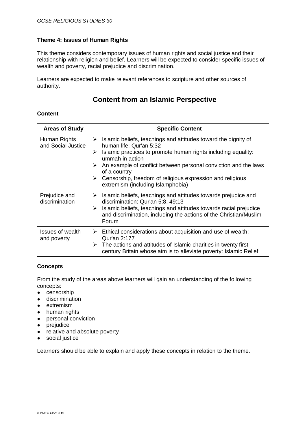This theme considers contemporary issues of human rights and social justice and their relationship with religion and belief. Learners will be expected to consider specific issues of wealth and poverty, racial prejudice and discrimination.

Learners are expected to make relevant references to scripture and other sources of authority.

## **Content from an Islamic Perspective**

#### **Content**

| <b>Areas of Study</b>                  | <b>Specific Content</b>                                                                                                                                                                                                                                                                                                                                                                            |
|----------------------------------------|----------------------------------------------------------------------------------------------------------------------------------------------------------------------------------------------------------------------------------------------------------------------------------------------------------------------------------------------------------------------------------------------------|
| Human Rights<br>and Social Justice     | Islamic beliefs, teachings and attitudes toward the dignity of<br>➤<br>human life: Qur'an 5:32<br>Islamic practices to promote human rights including equality:<br>≻<br>ummah in action<br>An example of conflict between personal conviction and the laws<br>➤<br>of a country<br>$\triangleright$ Censorship, freedom of religious expression and religious<br>extremism (including Islamphobia) |
| Prejudice and<br>discrimination        | Islamic beliefs, teachings and attitudes towards prejudice and<br>➤<br>discrimination: Qur'an 5:8, 49:13<br>Islamic beliefs, teachings and attitudes towards racial prejudice<br>➤<br>and discrimination, including the actions of the Christian/Muslim<br>Forum                                                                                                                                   |
| <b>Issues of wealth</b><br>and poverty | $\triangleright$ Ethical considerations about acquisition and use of wealth:<br>Qur'an 2:177<br>The actions and attitudes of Islamic charities in twenty first<br>➤<br>century Britain whose aim is to alleviate poverty: Islamic Relief                                                                                                                                                           |

#### **Concepts**

From the study of the areas above learners will gain an understanding of the following concepts:

- censorship
- discrimination
- extremism
- human rights
- personal conviction
- prejudice
- relative and absolute poverty
- social justice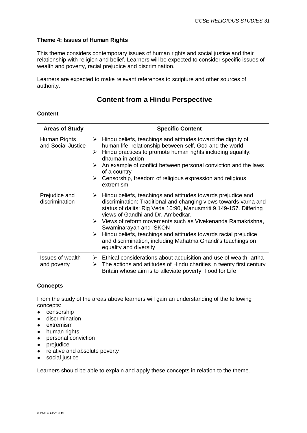This theme considers contemporary issues of human rights and social justice and their relationship with religion and belief. Learners will be expected to consider specific issues of wealth and poverty, racial prejudice and discrimination.

Learners are expected to make relevant references to scripture and other sources of authority.

## **Content from a Hindu Perspective**

#### **Content**

| <b>Areas of Study</b>                  | <b>Specific Content</b>                                                                                                                                                                                                                                                                                                                                                                                                                                                                                                                           |
|----------------------------------------|---------------------------------------------------------------------------------------------------------------------------------------------------------------------------------------------------------------------------------------------------------------------------------------------------------------------------------------------------------------------------------------------------------------------------------------------------------------------------------------------------------------------------------------------------|
| Human Rights<br>and Social Justice     | Hindu beliefs, teachings and attitudes toward the dignity of<br>≻<br>human life: relationship between self, God and the world<br>Hindu practices to promote human rights including equality:<br>➤<br>dharma in action<br>An example of conflict between personal conviction and the laws<br>➤<br>of a country<br>Censorship, freedom of religious expression and religious<br>➤<br>extremism                                                                                                                                                      |
| Prejudice and<br>discrimination        | $\triangleright$ Hindu beliefs, teachings and attitudes towards prejudice and<br>discrimination: Traditional and changing views towards varna and<br>status of dalits: Rig Veda 10:90, Manusmriti 9.149-157. Differing<br>views of Gandhi and Dr. Ambedkar.<br>$\triangleright$ Views of reform movements such as Vivekenanda Ramakrishna,<br>Swaminarayan and ISKON<br>$\triangleright$ Hindu beliefs, teachings and attitudes towards racial prejudice<br>and discrimination, including Mahatma Ghandi's teachings on<br>equality and diversity |
| <b>Issues of wealth</b><br>and poverty | $\triangleright$ Ethical considerations about acquisition and use of wealth-artha<br>$\triangleright$ The actions and attitudes of Hindu charities in twenty first century<br>Britain whose aim is to alleviate poverty: Food for Life                                                                                                                                                                                                                                                                                                            |

#### **Concepts**

From the study of the areas above learners will gain an understanding of the following concepts:

- censorship
- discrimination
- extremism
- human rights
- personal conviction
- prejudice
- relative and absolute poverty
- social justice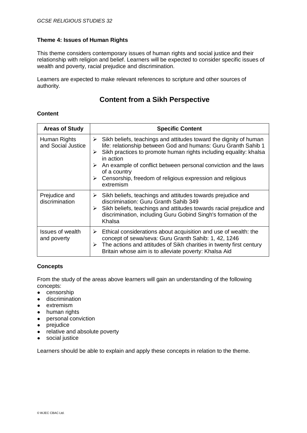This theme considers contemporary issues of human rights and social justice and their relationship with religion and belief. Learners will be expected to consider specific issues of wealth and poverty, racial prejudice and discrimination.

Learners are expected to make relevant references to scripture and other sources of authority.

## **Content from a Sikh Perspective**

#### **Content**

| <b>Areas of Study</b>              | <b>Specific Content</b>                                                                                                                                                                                                                                                                                                                                                                                                        |
|------------------------------------|--------------------------------------------------------------------------------------------------------------------------------------------------------------------------------------------------------------------------------------------------------------------------------------------------------------------------------------------------------------------------------------------------------------------------------|
| Human Rights<br>and Social Justice | $\triangleright$ Sikh beliefs, teachings and attitudes toward the dignity of human<br>life: relationship between God and humans: Guru Granth Sahib 1<br>Sikh practices to promote human rights including equality: khalsa<br>➤<br>in action<br>≻<br>An example of conflict between personal conviction and the laws<br>of a country<br>$\triangleright$ Censorship, freedom of religious expression and religious<br>extremism |
| Prejudice and<br>discrimination    | Sikh beliefs, teachings and attitudes towards prejudice and<br>≻<br>discrimination: Guru Granth Sahib 349<br>Sikh beliefs, teachings and attitudes towards racial prejudice and<br>≻<br>discrimination, including Guru Gobind Singh's formation of the<br>Khalsa                                                                                                                                                               |
| Issues of wealth<br>and poverty    | Ethical considerations about acquisition and use of wealth: the<br>➤<br>concept of sewa/seva: Guru Granth Sahib: 1, 42, 1246<br>The actions and attitudes of Sikh charities in twenty first century<br>➤<br>Britain whose aim is to alleviate poverty: Khalsa Aid                                                                                                                                                              |

#### **Concepts**

From the study of the areas above learners will gain an understanding of the following concepts:

- censorship
- discrimination
- extremism
- human rights
- personal conviction
- prejudice
- relative and absolute poverty
- social justice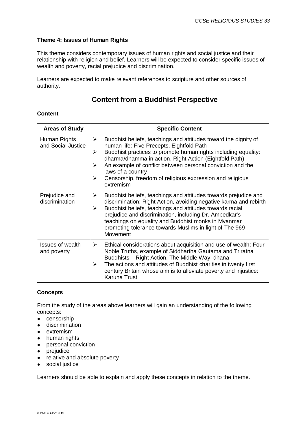This theme considers contemporary issues of human rights and social justice and their relationship with religion and belief. Learners will be expected to consider specific issues of wealth and poverty, racial prejudice and discrimination.

Learners are expected to make relevant references to scripture and other sources of authority.

## **Content from a Buddhist Perspective**

#### **Content**

| <b>Areas of Study</b>                  | <b>Specific Content</b>                                                                                                                                                                                                                                                                                                                                                                                                                       |
|----------------------------------------|-----------------------------------------------------------------------------------------------------------------------------------------------------------------------------------------------------------------------------------------------------------------------------------------------------------------------------------------------------------------------------------------------------------------------------------------------|
| Human Rights<br>and Social Justice     | Buddhist beliefs, teachings and attitudes toward the dignity of<br>$\blacktriangleright$<br>human life: Five Precepts, Eightfold Path<br>Buddhist practices to promote human rights including equality:<br>➤<br>dharma/dhamma in action, Right Action (Eightfold Path)<br>An example of conflict between personal conviction and the<br>➤<br>laws of a country<br>Censorship, freedom of religious expression and religious<br>➤<br>extremism |
| Prejudice and<br>discrimination        | Buddhist beliefs, teachings and attitudes towards prejudice and<br>➤<br>discrimination: Right Action, avoiding negative karma and rebirth<br>Buddhist beliefs, teachings and attitudes towards racial<br>$\blacktriangleright$<br>prejudice and discrimination, including Dr. Ambedkar's<br>teachings on equality and Buddhist monks in Myanmar<br>promoting tolerance towards Muslims in light of The 969<br>Movement                        |
| <b>Issues of wealth</b><br>and poverty | Ethical considerations about acquisition and use of wealth: Four<br>≻<br>Noble Truths, example of Siddhartha Gautama and Triratna<br>Buddhists - Right Action, The Middle Way, dhana<br>The actions and attitudes of Buddhist charities in twenty first<br>➤<br>century Britain whose aim is to alleviate poverty and injustice:<br>Karuna Trust                                                                                              |

#### **Concepts**

From the study of the areas above learners will gain an understanding of the following concepts:

- censorship
- discrimination
- extremism
- human rights
- personal conviction
- prejudice
- relative and absolute poverty
- social justice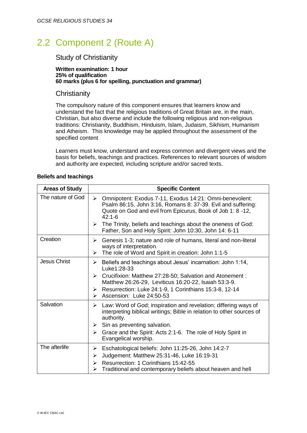# 2.2 Component 2 (Route A)

### Study of Christianity

#### **Written examination: 1 hour 25% of qualification 60 marks (plus 6 for spelling, punctuation and grammar)**

#### **Christianity**

The compulsory nature of this component ensures that learners know and understand the fact that the religious traditions of Great Britain are, in the main, Christian, but also diverse and include the following religious and non-religious traditions: Christianity, Buddhism, Hinduism, Islam, Judaism, Sikhism, Humanism and Atheism. This knowledge may be applied throughout the assessment of the specified content

Learners must know, understand and express common and divergent views and the basis for beliefs, teachings and practices. References to relevant sources of wisdom and authority are expected, including scripture and/or sacred texts.

#### **Beliefs and teachings**

| <b>Specific Content</b>                                                                                                                                                                               |
|-------------------------------------------------------------------------------------------------------------------------------------------------------------------------------------------------------|
| > Omnipotent: Exodus 7-11, Exodus 14:21: Omni-benevolent:<br>Psalm 86:15, John 3:16, Romans 8: 37-39. Evil and suffering:<br>Quote on God and evil from Epicurus, Book of Job 1: 8 -12,<br>$42:1 - 6$ |
| $\triangleright$ The Trinity, beliefs and teachings about the oneness of God:<br>Father, Son and Holy Spirit: John 10:30, John 14: 6-11                                                               |
| Genesis 1-3; nature and role of humans, literal and non-literal<br>➤<br>ways of interpretation.<br>The role of Word and Spirit in creation: John 1:1-5<br>➤                                           |
| Beliefs and teachings about Jesus' incarnation: John 1:14,<br>➤<br>Luke1:28-33                                                                                                                        |
| $\triangleright$ Crucifixion: Matthew 27:28-50; Salvation and Atonement :<br>Matthew 26:26-29, Leviticus 16:20-22, Isaiah 53:3-9.                                                                     |
| $\triangleright$ Resurrection: Luke 24:1-9, 1 Corinthians 15:3-8, 12-14<br>Ascension: Luke 24:50-53<br>$\triangleright$                                                                               |
| Law: Word of God; inspiration and revelation; differing ways of<br>➤<br>interpreting biblical writings; Bible in relation to other sources of<br>authority.                                           |
| Sin as preventing salvation.<br>≻                                                                                                                                                                     |
| Grace and the Spirit: Acts 2:1-6. The role of Holy Spirit in<br>$\blacktriangleright$<br>Evangelical worship.                                                                                         |
| Eschatological beliefs: John 11:25-26, John 14:2-7<br>➤                                                                                                                                               |
| Judgement: Matthew 25:31-46, Luke 16:19-31<br>≻                                                                                                                                                       |
| Resurrection: 1 Corinthians 15:42-55<br>≻<br>Traditional and contemporary beliefs about heaven and hell<br>➤                                                                                          |
|                                                                                                                                                                                                       |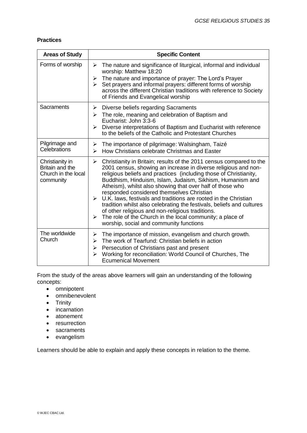#### **Practices**

| <b>Areas of Study</b>                                                  | <b>Specific Content</b>                                                                                                                                                                                                                                                                                                                                                                                                                                                                                                                                                                                                                                                                                                                                      |
|------------------------------------------------------------------------|--------------------------------------------------------------------------------------------------------------------------------------------------------------------------------------------------------------------------------------------------------------------------------------------------------------------------------------------------------------------------------------------------------------------------------------------------------------------------------------------------------------------------------------------------------------------------------------------------------------------------------------------------------------------------------------------------------------------------------------------------------------|
| Forms of worship                                                       | The nature and significance of liturgical, informal and individual<br>➤<br>worship: Matthew 18:20<br>The nature and importance of prayer: The Lord's Prayer<br>➤<br>Set prayers and informal prayers: different forms of worship<br>$\blacktriangleright$<br>across the different Christian traditions with reference to Society<br>of Friends and Evangelical worship                                                                                                                                                                                                                                                                                                                                                                                       |
| Sacraments                                                             | Diverse beliefs regarding Sacraments<br>≻<br>$\triangleright$ The role, meaning and celebration of Baptism and<br>Eucharist: John 3:3-6<br>Diverse interpretations of Baptism and Eucharist with reference<br>↘<br>to the beliefs of the Catholic and Protestant Churches                                                                                                                                                                                                                                                                                                                                                                                                                                                                                    |
| Pilgrimage and<br>Celebrations                                         | The importance of pilgrimage: Walsingham, Taizé<br>➤<br>How Christians celebrate Christmas and Easter<br>≻                                                                                                                                                                                                                                                                                                                                                                                                                                                                                                                                                                                                                                                   |
| Christianity in<br>Britain and the<br>Church in the local<br>community | $\blacktriangleright$<br>Christianity in Britain; results of the 2011 census compared to the<br>2001 census, showing an increase in diverse religious and non-<br>religious beliefs and practices (including those of Christianity,<br>Buddhism, Hinduism, Islam, Judaism, Sikhism, Humanism and<br>Atheism), whilst also showing that over half of those who<br>responded considered themselves Christian<br>$\triangleright$ U.K. laws, festivals and traditions are rooted in the Christian<br>tradition whilst also celebrating the festivals, beliefs and cultures<br>of other religious and non-religious traditions.<br>The role of the Church in the local community; a place of<br>$\blacktriangleright$<br>worship, social and community functions |
| The worldwide<br>Church                                                | The importance of mission, evangelism and church growth.<br>➤<br>The work of Tearfund: Christian beliefs in action<br>≻<br>Persecution of Christians past and present<br>➤<br>Working for reconciliation: World Council of Churches, The<br>➤<br><b>Ecumenical Movement</b>                                                                                                                                                                                                                                                                                                                                                                                                                                                                                  |

From the study of the areas above learners will gain an understanding of the following concepts:

- omnipotent
- omnibenevolent
- Trinity
- incarnation
- atonement
- resurrection
- sacraments
- evangelism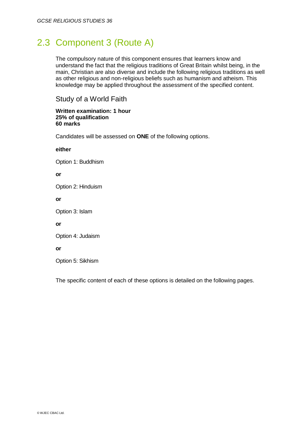## 2.3 Component 3 (Route A)

The compulsory nature of this component ensures that learners know and understand the fact that the religious traditions of Great Britain whilst being, in the main, Christian are also diverse and include the following religious traditions as well as other religious and non-religious beliefs such as humanism and atheism. This knowledge may be applied throughout the assessment of the specified content.

### Study of a World Faith

#### **Written examination: 1 hour 25% of qualification 60 marks**

Candidates will be assessed on **ONE** of the following options.

#### **either**

Option 1: Buddhism

**or**

Option 2: Hinduism

**or**

Option 3: Islam

**or**

Option 4: Judaism

**or**

Option 5: Sikhism

The specific content of each of these options is detailed on the following pages.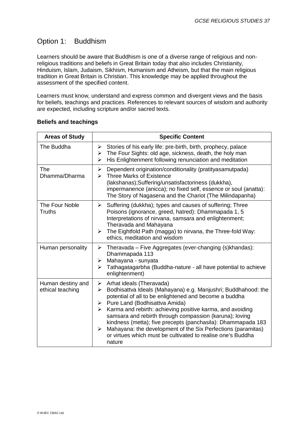## Option 1: Buddhism

Learners should be aware that Buddhism is one of a diverse range of religious and nonreligious traditions and beliefs in Great Britain today that also includes Christianity, Hinduism, Islam, Judaism, Sikhism, Humanism and Atheism, but that the main religious tradition in Great Britain is Christian. This knowledge may be applied throughout the assessment of the specified content.

Learners must know, understand and express common and divergent views and the basis for beliefs, teachings and practices. References to relevant sources of wisdom and authority are expected, including scripture and/or sacred texts.

| <b>Areas of Study</b>                 | <b>Specific Content</b>                                                                                                                                                                                                                                                                                                                                                                                                                                                                                                                        |
|---------------------------------------|------------------------------------------------------------------------------------------------------------------------------------------------------------------------------------------------------------------------------------------------------------------------------------------------------------------------------------------------------------------------------------------------------------------------------------------------------------------------------------------------------------------------------------------------|
| The Buddha                            | Stories of his early life: pre-birth, birth, prophecy, palace<br>➤<br>The Four Sights: old age, sickness, death, the holy man<br>➤<br>His Enlightenment following renunciation and meditation<br>➤                                                                                                                                                                                                                                                                                                                                             |
| The<br>Dhamma/Dharma                  | Dependent origination/conditionality (pratityasamutpada)<br>➤<br><b>Three Marks of Existence</b><br>⋗<br>(lakshanas);Suffering/unsatisfactoriness (dukkha),<br>impermanence (anicca); no fixed self, essence or soul (anatta):<br>The Story of Nagasena and the Chariot (The Milindapanha)                                                                                                                                                                                                                                                     |
| The Four Noble<br><b>Truths</b>       | Suffering (dukkha); types and causes of suffering; Three<br>➤<br>Poisons (ignorance, greed, hatred): Dhammapada 1, 5<br>Interpretations of nirvana, samsara and enlightenment;<br>Theravada and Mahayana<br>The Eightfold Path (magga) to nirvana, the Three-fold Way:<br>➤<br>ethics, meditation and wisdom                                                                                                                                                                                                                                   |
| Human personality                     | Theravada - Five Aggregates (ever-changing (s) khandas):<br>➤<br>Dhammapada 113<br>Mahayana - sunyata<br>➤<br>Tathagatagarbha (Buddha-nature - all have potential to achieve<br>➤<br>enlightenment)                                                                                                                                                                                                                                                                                                                                            |
| Human destiny and<br>ethical teaching | Arhat ideals (Theravada)<br>➤<br>Bodhisattva Ideals (Mahayana) e.g. Manjushri; Buddhahood: the<br>➤<br>potential of all to be enlightened and become a buddha<br>Pure Land (Bodhisattva Amida)<br>➤<br>Karma and rebirth: achieving positive karma, and avoiding<br>≻<br>samsara and rebirth through compassion (karuna); loving<br>kindness (metta); five precepts (panchasila): Dhammapada 183<br>Mahayana: the development of the Six Perfections (paramitas)<br>≻<br>or virtues which must be cultivated to realise one's Buddha<br>nature |

#### **Beliefs and teachings**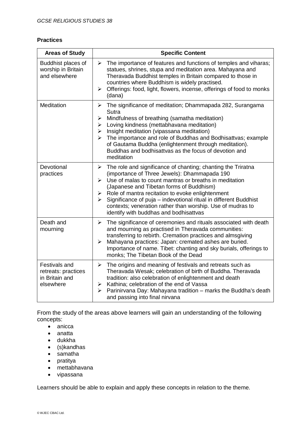#### **Practices**

| <b>Areas of Study</b>                                                      | <b>Specific Content</b>                                                                                                                                                                                                                                                                                                                                                                                                                                                |
|----------------------------------------------------------------------------|------------------------------------------------------------------------------------------------------------------------------------------------------------------------------------------------------------------------------------------------------------------------------------------------------------------------------------------------------------------------------------------------------------------------------------------------------------------------|
| Buddhist places of<br>worship in Britain<br>and elsewhere                  | The importance of features and functions of temples and viharas;<br>➤<br>statues, shrines, stupa and meditation area. Mahayana and<br>Theravada Buddhist temples in Britain compared to those in<br>countries where Buddhism is widely practised.<br>Offerings: food, light, flowers, incense, offerings of food to monks<br>≻<br>(dana)                                                                                                                               |
| <b>Meditation</b>                                                          | The significance of meditation; Dhammapada 282, Surangama<br>≻<br>Sutra<br>Mindfulness of breathing (samatha meditation)<br>➤<br>Loving kindness (mettabhavana meditation)<br>➤<br>Insight meditation (vipassana meditation)<br>➤<br>The importance and role of Buddhas and Bodhisattvas; example<br>➤<br>of Gautama Buddha (enlightenment through meditation).<br>Buddhas and bodhisattvas as the focus of devotion and<br>meditation                                 |
| Devotional<br>practices                                                    | The role and significance of chanting; chanting the Triratna<br>➤<br>(importance of Three Jewels): Dhammapada 190<br>Use of malas to count mantras or breaths in meditation<br>➤<br>(Japanese and Tibetan forms of Buddhism)<br>Role of mantra recitation to evoke enlightenment<br>➤<br>Significance of puja - indevotional ritual in different Buddhist<br>➤<br>contexts; veneration rather than worship. Use of mudras to<br>identify with buddhas and bodhisattvas |
| Death and<br>mourning                                                      | The significance of ceremonies and rituals associated with death<br>➤<br>and mourning as practised in Theravada communities:<br>transferring to rebirth. Cremation practices and almsgiving<br>Mahayana practices: Japan: cremated ashes are buried.<br>➤<br>Importance of name. Tibet: chanting and sky burials, offerings to<br>monks; The Tibetan Book of the Dead                                                                                                  |
| <b>Festivals and</b><br>retreats: practices<br>in Britain and<br>elsewhere | The origins and meaning of festivals and retreats such as<br>$\blacktriangleright$<br>Theravada Wesak; celebration of birth of Buddha. Theravada<br>tradition: also celebration of enlightenment and death<br>Kathina; celebration of the end of Vassa<br>≻<br>Parinirvana Day: Mahayana tradition - marks the Buddha's death<br>➤<br>and passing into final nirvana                                                                                                   |

From the study of the areas above learners will gain an understanding of the following concepts:

- anicca
- anatta
- dukkha
- (s)kandhas
- samatha
- pratitya
- mettabhavana
- vipassana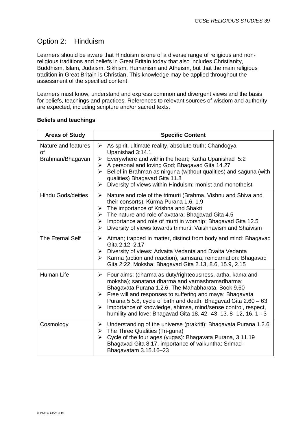## Option 2: Hinduism

Learners should be aware that Hinduism is one of a diverse range of religious and nonreligious traditions and beliefs in Great Britain today that also includes Christianity, Buddhism, Islam, Judaism, Sikhism, Humanism and Atheism, but that the main religious tradition in Great Britain is Christian. This knowledge may be applied throughout the assessment of the specified content.

Learners must know, understand and express common and divergent views and the basis for beliefs, teachings and practices. References to relevant sources of wisdom and authority are expected, including scripture and/or sacred texts.

| <b>Areas of Study</b>                                | <b>Specific Content</b>                                                                                                                                                                                                                                                                                                                                                                                                                                                    |
|------------------------------------------------------|----------------------------------------------------------------------------------------------------------------------------------------------------------------------------------------------------------------------------------------------------------------------------------------------------------------------------------------------------------------------------------------------------------------------------------------------------------------------------|
| Nature and features<br><b>of</b><br>Brahman/Bhagavan | As spirit, ultimate reality, absolute truth; Chandogya<br>➤<br>Upanishad 3:14.1<br>Everywhere and within the heart; Katha Upanishad 5:2<br>➤<br>A personal and loving God; Bhagavad Gita 14.27<br>➤<br>Belief in Brahman as nirguna (without qualities) and saguna (with<br>➤<br>qualities) Bhagavad Gita 11.8<br>Diversity of views within Hinduism: monist and monotheist<br>$\blacktriangleright$                                                                       |
| <b>Hindu Gods/deities</b>                            | Nature and role of the trimurti (Brahma, Vishnu and Shiva and<br>➤<br>their consorts); Kūrma Purana 1.6, 1.9<br>The importance of Krishna and Shakti<br>≻<br>The nature and role of avatara; Bhagavad Gita 4.5<br>$\blacktriangleright$<br>Importance and role of murti in worship; Bhagavad Gita 12.5<br>➤<br>Diversity of views towards trimurti: Vaishnavism and Shaivism<br>➤                                                                                          |
| The Eternal Self                                     | Atman; trapped in matter, distinct from body and mind: Bhagavad<br>≻<br>Gita 2.12, 2.17<br>Diversity of views: Advaita Vedanta and Dvaita Vedanta<br>≻<br>Karma (action and reaction), samsara, reincarnation: Bhagavad<br>➤<br>Gita 2:22, Moksha: Bhagavad Gita 2.13, 8.6, 15.9, 2.15                                                                                                                                                                                     |
| Human Life                                           | Four aims: (dharma as duty/righteousness, artha, kama and<br>≻<br>moksha); sanatana dharma and varnashramadharma:<br>Bhagavata Purana 1.2.6, The Mahabharata, Book 9.60<br>Free will and responses to suffering and maya: Bhagavata<br>$\blacktriangleright$<br>Purana 5.5.8, cycle of birth and death, Bhagavad Gita 2.60 – 63<br>Importance of knowledge, ahimsa, mind/sense control, respect,<br>➤<br>humility and love: Bhagavad Gita 18. 42- 43, 13. 8 -12, 16. 1 - 3 |
| Cosmology                                            | Understanding of the universe (prakriti): Bhagavata Purana 1.2.6<br>➤<br>The Three Qualities (Tri-guna)<br>$\blacktriangleright$<br>Cycle of the four ages (yugas): Bhagavata Purana, 3.11.19<br>⋗<br>Bhagavad Gita 8.17, importance of vaikuntha: Srimad-<br>Bhagavatam 3.15.16-23                                                                                                                                                                                        |

#### **Beliefs and teachings**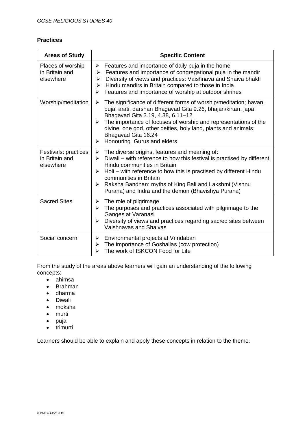#### **Practices**

| <b>Areas of Study</b>                               | <b>Specific Content</b>                                                                                                                                                                                                                                                                                                                                                                                            |
|-----------------------------------------------------|--------------------------------------------------------------------------------------------------------------------------------------------------------------------------------------------------------------------------------------------------------------------------------------------------------------------------------------------------------------------------------------------------------------------|
| Places of worship<br>in Britain and<br>elsewhere    | Features and importance of daily puja in the home<br>➤<br>$\triangleright$ Features and importance of congregational puja in the mandir<br>Diversity of views and practices: Vaishnava and Shaiva bhakti<br>≻<br>$\triangleright$ Hindu mandirs in Britain compared to those in India<br>Features and importance of worship at outdoor shrines<br>$\triangleright$                                                 |
| Worship/meditation                                  | The significance of different forms of worship/meditation; havan,<br>➤<br>puja, arati, darshan Bhagavad Gita 9.26, bhajan/kirtan, japa:<br>Bhagavad Gita 3.19, 4.38, 6.11-12<br>The importance of focuses of worship and representations of the<br>➤<br>divine; one god, other deities, holy land, plants and animals:<br>Bhagavad Gita 16.24<br>Honouring Gurus and elders<br>➤                                   |
| Festivals: practices<br>in Britain and<br>elsewhere | $\triangleright$ The diverse origins, features and meaning of:<br>$\triangleright$ Diwali – with reference to how this festival is practised by different<br>Hindu communities in Britain<br>Holi – with reference to how this is practised by different Hindu<br>➤<br>communities in Britain<br>Raksha Bandhan: myths of King Bali and Lakshmi (Vishnu<br>➤<br>Purana) and Indra and the demon (Bhavishya Purana) |
| <b>Sacred Sites</b>                                 | $\triangleright$ The role of pilgrimage<br>The purposes and practices associated with pilgrimage to the<br>➤<br>Ganges at Varanasi<br>Diversity of views and practices regarding sacred sites between<br>➤<br>Vaishnavas and Shaivas                                                                                                                                                                               |
| Social concern                                      | $\triangleright$ Environmental projects at Vrindaban<br>$\triangleright$ The importance of Goshallas (cow protection)<br>The work of ISKCON Food for Life<br>↘                                                                                                                                                                                                                                                     |

From the study of the areas above learners will gain an understanding of the following concepts:

- ahimsa
- Brahman
- dharma
- Diwali
- moksha
- murti
- $\bullet$  puja
- trimurti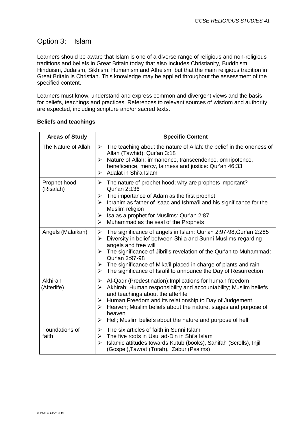## Option 3: Islam

Learners should be aware that Islam is one of a diverse range of religious and non-religious traditions and beliefs in Great Britain today that also includes Christianity, Buddhism, Hinduism, Judaism, Sikhism, Humanism and Atheism, but that the main religious tradition in Great Britain is Christian. This knowledge may be applied throughout the assessment of the specified content.

Learners must know, understand and express common and divergent views and the basis for beliefs, teachings and practices. References to relevant sources of wisdom and authority are expected, including scripture and/or sacred texts.

| <b>Areas of Study</b>     | <b>Specific Content</b>                                                                                                                                                                                                                                                                                                                                                                                                               |
|---------------------------|---------------------------------------------------------------------------------------------------------------------------------------------------------------------------------------------------------------------------------------------------------------------------------------------------------------------------------------------------------------------------------------------------------------------------------------|
| The Nature of Allah       | $\triangleright$ The teaching about the nature of Allah: the belief in the oneness of<br>Allah (Tawhid): Qur'an 3:18<br>Nature of Allah: immanence, transcendence, omnipotence,<br>➤<br>beneficence, mercy, fairness and justice: Qur'an 46:33<br>Adalat in Shi'a Islam<br>↘                                                                                                                                                          |
| Prophet hood<br>(Risalah) | The nature of prophet hood; why are prophets important?<br>➤<br>Qur'an 2:136<br>The importance of Adam as the first prophet<br>⋗<br>Ibrahim as father of Isaac and Ishma'il and his significance for the<br>⋗<br>Muslim religion<br>Isa as a prophet for Muslims: Qur'an 2:87<br>➤<br>Muhammad as the seal of the Prophets<br>➤                                                                                                       |
| Angels (Malaikah)         | The significance of angels in Islam: Qur'an 2:97-98, Qur'an 2:285<br>$\blacktriangleright$<br>Diversity in belief between Shi'a and Sunni Muslims regarding<br>➤<br>angels and free will<br>The significance of Jibril's revelation of the Qur'an to Muhammad:<br>➤<br>Qur'an 2:97-98<br>The significance of Mika'il placed in charge of plants and rain<br>➤<br>The significance of Israfil to announce the Day of Resurrection<br>➤ |
| Akhirah<br>(Afterlife)    | Al-Qadr (Predestination): Implications for human freedom<br>➤<br>Akhirah: Human responsibility and accountability; Muslim beliefs<br>➤<br>and teachings about the afterlife<br>Human Freedom and its relationship to Day of Judgement<br>➤<br>Heaven; Muslim beliefs about the nature, stages and purpose of<br>➤<br>heaven<br>Hell; Muslim beliefs about the nature and purpose of hell<br>➤                                         |
| Foundations of<br>faith   | The six articles of faith in Sunni Islam<br>➤<br>The five roots in Usul ad-Din in Shi'a Islam<br>⋗<br>Islamic attitudes towards Kutub (books), Sahifah (Scrolls), Injil<br>➤<br>(Gospel), Tawrat (Torah), Zabur (Psalms)                                                                                                                                                                                                              |

#### **Beliefs and teachings**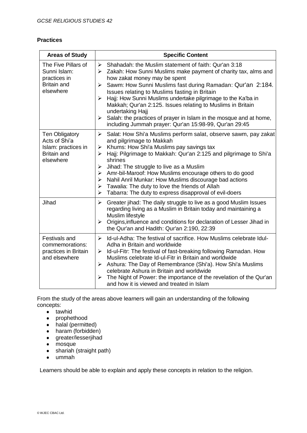#### **Practices**

| <b>Areas of Study</b>                                                                     | <b>Specific Content</b>                                                                                                                                                                                                                                                                                                                                                                                                                                                                                                                                                                                   |
|-------------------------------------------------------------------------------------------|-----------------------------------------------------------------------------------------------------------------------------------------------------------------------------------------------------------------------------------------------------------------------------------------------------------------------------------------------------------------------------------------------------------------------------------------------------------------------------------------------------------------------------------------------------------------------------------------------------------|
| The Five Pillars of<br>Sunni Islam:<br>practices in<br><b>Britain and</b><br>elsewhere    | $\triangleright$ Shahadah: the Muslim statement of faith: Qur'an 3:18<br>$\triangleright$ Zakah: How Sunni Muslims make payment of charity tax, alms and<br>how zakat money may be spent<br>Sawm: How Sunni Muslims fast during Ramadan: Qur'an 2:184.<br>➤<br>Issues relating to Muslims fasting in Britain<br>Hajj: How Sunni Muslims undertake pilgrimage to the Ka'ba in<br>➤<br>Makkah; Qur'an 2:125. Issues relating to Muslims in Britain<br>undertaking Hajj<br>Salah: the practices of prayer in Islam in the mosque and at home,<br>➤<br>including Jummah prayer: Qur'an 15:98-99, Qur'an 29:45 |
| Ten Obligatory<br>Acts of Shi'a<br>Islam: practices in<br><b>Britain and</b><br>elsewhere | $\blacktriangleright$<br>Salat: How Shi'a Muslims perform salat, observe sawm, pay zakat<br>and pilgrimage to Makkah<br>Khums: How Shi'a Muslims pay savings tax<br>$\blacktriangleright$<br>Hajj: Pilgrimage to Makkah: Qur'an 2:125 and pilgrimage to Shi'a<br>➤<br>shrines<br>Jihad: The struggle to live as a Muslim<br>➤<br>Amr-bil-Maroof: How Muslims encourage others to do good<br>≻<br>Nahil Anril Munkar: How Muslims discourage bad actions<br>➤<br>Tawalia: The duty to love the friends of Allah<br>➤<br>Tabarra: The duty to express disapproval of evil-doers<br>➤                        |
| Jihad                                                                                     | Greater jihad: The daily struggle to live as a good Muslim Issues<br>$\blacktriangleright$<br>regarding living as a Muslim in Britain today and maintaining a<br>Muslim lifestyle<br>Origins, influence and conditions for declaration of Lesser Jihad in<br>➤<br>the Qur'an and Hadith: Qur'an 2:190, 22:39                                                                                                                                                                                                                                                                                              |
| Festivals and<br>commemorations:<br>practices in Britain<br>and elsewhere                 | Id-ul-Adha: The festival of sacrifice. How Muslims celebrate Idul-<br>$\blacktriangleright$<br>Adha in Britain and worldwide<br>Id-ul-Fitr: The festival of fast-breaking following Ramadan. How<br>➤<br>Muslims celebrate Id-ul-Fitr in Britain and worldwide<br>Ashura: The Day of Remembrance (Shi'a). How Shi'a Muslims<br>➤<br>celebrate Ashura in Britain and worldwide<br>The Night of Power: the importance of the revelation of the Qur'an<br>≻<br>and how it is viewed and treated in Islam                                                                                                     |

From the study of the areas above learners will gain an understanding of the following concepts:

- tawhid
- prophethood
- halal (permitted)
- haram (forbidden)
- greater/lesserjihad
- mosque
- shariah (straight path)
- ummah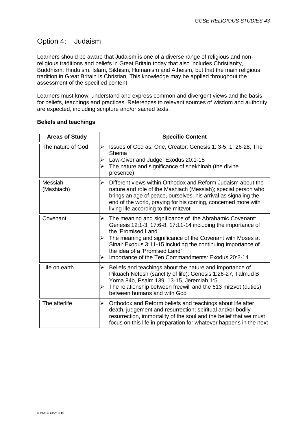## Option 4: Judaism

Learners should be aware that Judaism is one of a diverse range of religious and nonreligious traditions and beliefs in Great Britain today that also includes Christianity, Buddhism, Hinduism, Islam, Sikhism, Humanism and Atheism, but that the main religious tradition in Great Britain is Christian. This knowledge may be applied throughout the assessment of the specified content

Learners must know, understand and express common and divergent views and the basis for beliefs, teachings and practices. References to relevant sources of wisdom and authority are expected, including scripture and/or sacred texts.

| <b>Areas of Study</b> | <b>Specific Content</b>                                                                                                                                                                                                                                                                                                                                                       |
|-----------------------|-------------------------------------------------------------------------------------------------------------------------------------------------------------------------------------------------------------------------------------------------------------------------------------------------------------------------------------------------------------------------------|
| The nature of God     | Issues of God as: One, Creator: Genesis 1: 3-5; 1: 26-28, The<br>➤<br>Shema<br>Law-Giver and Judge: Exodus 20:1-15<br>➤<br>The nature and significance of shekhinah (the divine<br>⋗<br>presence)                                                                                                                                                                             |
| Messiah<br>(Mashiach) | Different views within Orthodox and Reform Judaism about the<br>➤<br>nature and role of the Mashiach (Messiah); special person who<br>brings an age of peace, ourselves, his arrival as signaling the<br>end of the world, praying for his coming, concerned more with<br>living life according to the mitzvot                                                                |
| Covenant              | The meaning and significance of the Abrahamic Covenant:<br>➤<br>Genesis 12:1-3, 17:6-8, 17:11-14 including the importance of<br>the 'Promised Land'<br>The meaning and significance of the Covenant with Moses at<br>Sinai: Exodus 3:11-15 including the continuing importance of<br>the idea of a 'Promised Land'<br>Importance of the Ten Commandments: Exodus 20:2-14<br>➤ |
| Life on earth         | Beliefs and teachings about the nature and importance of<br>➤<br>Pikuach Nefesh (sanctity of life): Genesis 1:26-27, Talmud B<br>Yoma 84b, Psalm 139: 13-15, Jeremiah 1:5<br>The relationship between freewill and the 613 mitzvot (duties)<br>➤<br>between humans and with God                                                                                               |
| The afterlife         | Orthodox and Reform beliefs and teachings about life after<br>➤<br>death, judgement and resurrection; spiritual and/or bodily<br>resurrection, immortality of the soul and the belief that we must<br>focus on this life in preparation for whatever happens in the next                                                                                                      |

#### **Beliefs and teachings**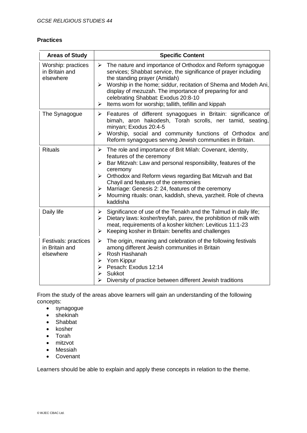#### **Practices**

| <b>Areas of Study</b>                               | <b>Specific Content</b>                                                                                                                                                                                                                                                                                                                                                                                                                                                           |  |  |
|-----------------------------------------------------|-----------------------------------------------------------------------------------------------------------------------------------------------------------------------------------------------------------------------------------------------------------------------------------------------------------------------------------------------------------------------------------------------------------------------------------------------------------------------------------|--|--|
| Worship: practices<br>in Britain and<br>elsewhere   | $\triangleright$ The nature and importance of Orthodox and Reform synagogue<br>services; Shabbat service, the significance of prayer including<br>the standing prayer (Amidah)<br>Worship in the home; siddur, recitation of Shema and Modeh Ani,<br>➤<br>display of mezuzah. The importance of preparing for and<br>celebrating Shabbat: Exodus 20:8-10<br>Items worn for worship; tallith, tefillin and kippah<br>➤                                                             |  |  |
| The Synagogue                                       | $\triangleright$ Features of different synagogues in Britain: significance of<br>bimah, aron hakodesh, Torah scrolls, ner tamid, seating,<br>minyan; Exodus 20:4-5<br>> Worship, social and community functions of Orthodox and<br>Reform synagogues serving Jewish communities in Britain.                                                                                                                                                                                       |  |  |
| <b>Rituals</b>                                      | The role and importance of Brit Milah: Covenant, identity,<br>$\blacktriangleright$<br>features of the ceremony<br>Bar Mitzvah: Law and personal responsibility, features of the<br>➤<br>ceremony<br>$\triangleright$ Orthodox and Reform views regarding Bat Mitzvah and Bat<br>Chayil and features of the ceremonies<br>$\triangleright$ Marriage: Genesis 2: 24, features of the ceremony<br>Mourning rituals: onan, kaddish, sheva, yarzheit. Role of chevra<br>➤<br>kaddisha |  |  |
| Daily life                                          | Significance of use of the Tenakh and the Talmud in daily life;<br>≻<br>Dietary laws: kosher/treyfah, parev, the prohibition of milk with<br>➤<br>meat, requirements of a kosher kitchen: Leviticus 11:1-23<br>Keeping kosher in Britain: benefits and challenges<br>$\blacktriangleright$                                                                                                                                                                                        |  |  |
| Festivals: practices<br>in Britain and<br>elsewhere | The origin, meaning and celebration of the following festivals<br>$\blacktriangleright$<br>among different Jewish communities in Britain<br>Rosh Hashanah<br>⋗<br>Yom Kippur<br>➤<br>Pesach: Exodus 12:14<br>⋗<br><b>Sukkot</b><br>⋗<br>Diversity of practice between different Jewish traditions<br>➤                                                                                                                                                                            |  |  |

From the study of the areas above learners will gain an understanding of the following concepts:

- synagogue
- shekinah
- Shabbat
- kosher
- Torah
- mitzvot
- Messiah
- Covenant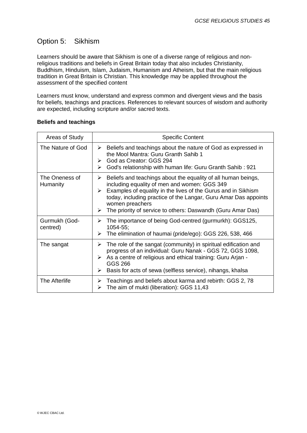## Option 5: Sikhism

Learners should be aware that Sikhism is one of a diverse range of religious and nonreligious traditions and beliefs in Great Britain today that also includes Christianity, Buddhism, Hinduism, Islam, Judaism, Humanism and Atheism, but that the main religious tradition in Great Britain is Christian. This knowledge may be applied throughout the assessment of the specified content

Learners must know, understand and express common and divergent views and the basis for beliefs, teachings and practices. References to relevant sources of wisdom and authority are expected, including scripture and/or sacred texts.

| Areas of Study             | <b>Specific Content</b>                                                                                                                                                                                                                                                                                                                            |  |  |
|----------------------------|----------------------------------------------------------------------------------------------------------------------------------------------------------------------------------------------------------------------------------------------------------------------------------------------------------------------------------------------------|--|--|
| The Nature of God          | Beliefs and teachings about the nature of God as expressed in<br>➤<br>the Mool Mantra: Guru Granth Sahib 1<br>God as Creator: GGS 294<br>➤<br>God's relationship with human life: Guru Granth Sahib: 921<br>➤                                                                                                                                      |  |  |
| The Oneness of<br>Humanity | Beliefs and teachings about the equality of all human beings,<br>➤<br>including equality of men and women: GGS 349<br>Examples of equality in the lives of the Gurus and in Sikhism<br>➤<br>today, including practice of the Langar, Guru Amar Das appoints<br>women preachers<br>The priority of service to others: Daswandh (Guru Amar Das)<br>➤ |  |  |
| Gurmukh (God-<br>centred)  | The importance of being God-centred (gurmurkh): GGS125,<br>➤<br>$1054 - 55$ ;<br>The elimination of haumai (pride/ego): GGS 226, 538, 466<br>➤                                                                                                                                                                                                     |  |  |
| The sangat                 | The role of the sangat (community) in spiritual edification and<br>➤<br>progress of an individual: Guru Nanak - GGS 72, GGS 1098,<br>As a centre of religious and ethical training: Guru Arjan -<br>➤<br>GGS 266<br>Basis for acts of sewa (selfless service), nihangs, khalsa<br>➤                                                                |  |  |
| The Afterlife              | Teachings and beliefs about karma and rebirth: GGS 2, 78<br>➤<br>The aim of mukti (liberation): GGS 11,43<br>➤                                                                                                                                                                                                                                     |  |  |

#### **Beliefs and teachings**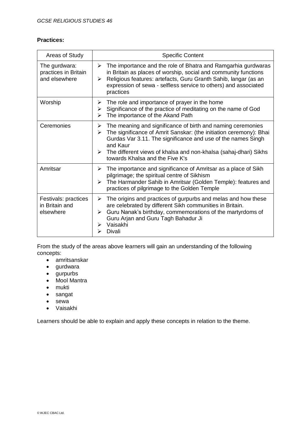#### **Practices:**

| Areas of Study                                         | <b>Specific Content</b>                                                                                                                                                                                                                                                                                                             |  |  |
|--------------------------------------------------------|-------------------------------------------------------------------------------------------------------------------------------------------------------------------------------------------------------------------------------------------------------------------------------------------------------------------------------------|--|--|
| The gurdwara:<br>practices in Britain<br>and elsewhere | The importance and the role of Bhatra and Ramgarhia gurdwaras<br>➤<br>in Britain as places of worship, social and community functions<br>Religious features: artefacts, Guru Granth Sahib, langar (as an<br>➤<br>expression of sewa - selfless service to others) and associated<br>practices                                       |  |  |
| Worship                                                | The role and importance of prayer in the home<br>➤<br>Significance of the practice of meditating on the name of God<br>➤<br>The importance of the Akand Path<br>⋗                                                                                                                                                                   |  |  |
| Ceremonies                                             | The meaning and significance of birth and naming ceremonies<br>➤<br>The significance of Amrit Sanskar: (the initiation ceremony): Bhai<br>➤<br>Gurdas Var 3.11. The significance and use of the names Singh<br>and Kaur<br>The different views of khalsa and non-khalsa (sahaj-dhari) Sikhs<br>➤<br>towards Khalsa and the Five K's |  |  |
| Amritsar                                               | The importance and significance of Amritsar as a place of Sikh<br>➤<br>pilgrimage; the spiritual centre of Sikhism<br>The Harmander Sahib in Amritsar (Golden Temple): features and<br>➤<br>practices of pilgrimage to the Golden Temple                                                                                            |  |  |
| Festivals: practices<br>in Britain and<br>elsewhere    | The origins and practices of gurpurbs and melas and how these<br>➤<br>are celebrated by different Sikh communities in Britain.<br>Guru Nanak's birthday, commemorations of the martyrdoms of<br>➤<br>Guru Arjan and Guru Tagh Bahadur Ji<br>Vaisakhi<br>⋗<br>Divali                                                                 |  |  |

From the study of the areas above learners will gain an understanding of the following concepts:

- amritsanskar
- gurdwara
- gurpurbs
- Mool Mantra
- mukti
- sangat
- sewa
- Vaisakhi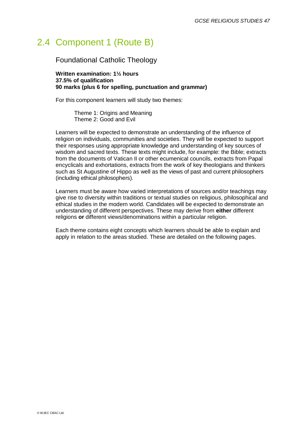## 2.4 Component 1 (Route B)

Foundational Catholic Theology

**Written examination: 1½ hours 37.5% of qualification 90 marks (plus 6 for spelling, punctuation and grammar)**

For this component learners will study two themes:

Theme 1: Origins and Meaning Theme 2: Good and Evil

Learners will be expected to demonstrate an understanding of the influence of religion on individuals, communities and societies. They will be expected to support their responses using appropriate knowledge and understanding of key sources of wisdom and sacred texts. These texts might include, for example: the Bible; extracts from the documents of Vatican II or other ecumenical councils, extracts from Papal encyclicals and exhortations, extracts from the work of key theologians and thinkers such as St Augustine of Hippo as well as the views of past and current philosophers (including ethical philosophers).

Learners must be aware how varied interpretations of sources and/or teachings may give rise to diversity within traditions or textual studies on religious, philosophical and ethical studies in the modern world. Candidates will be expected to demonstrate an understanding of different perspectives. These may derive from **either** different religions **or** different views/denominations within a particular religion.

Each theme contains eight concepts which learners should be able to explain and apply in relation to the areas studied. These are detailed on the following pages.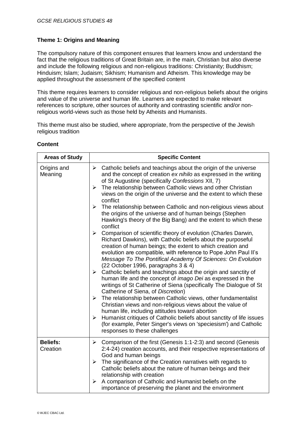#### **Theme 1: Origins and Meaning**

The compulsory nature of this component ensures that learners know and understand the fact that the religious traditions of Great Britain are, in the main, Christian but also diverse and include the following religious and non-religious traditions: Christianity; Buddhism; Hinduism; Islam; Judaism; Sikhism; Humanism and Atheism. This knowledge may be applied throughout the assessment of the specified content

This theme requires learners to consider religious and non-religious beliefs about the origins and value of the universe and human life. Learners are expected to make relevant references to scripture, other sources of authority and contrasting scientific and/or nonreligious world-views such as those held by Atheists and Humanists.

This theme must also be studied, where appropriate, from the perspective of the Jewish religious tradition

| <b>Areas of Study</b>       | <b>Specific Content</b>                                                                                                                                                                                                                                                                                                                                                                                                                                                                                                                                                                                                                                                                                                                                                                                                                                                                                                                                                                                                                                                                                                                                                                                                                                                                                                                                                                                                                                                                                                                                                                                          |  |  |
|-----------------------------|------------------------------------------------------------------------------------------------------------------------------------------------------------------------------------------------------------------------------------------------------------------------------------------------------------------------------------------------------------------------------------------------------------------------------------------------------------------------------------------------------------------------------------------------------------------------------------------------------------------------------------------------------------------------------------------------------------------------------------------------------------------------------------------------------------------------------------------------------------------------------------------------------------------------------------------------------------------------------------------------------------------------------------------------------------------------------------------------------------------------------------------------------------------------------------------------------------------------------------------------------------------------------------------------------------------------------------------------------------------------------------------------------------------------------------------------------------------------------------------------------------------------------------------------------------------------------------------------------------------|--|--|
| Origins and<br>Meaning      | $\triangleright$ Catholic beliefs and teachings about the origin of the universe<br>and the concept of creation ex nihilo as expressed in the writing<br>of St Augustine (specifically Confessions XII, 7)<br>The relationship between Catholic views and other Christian<br>➤<br>views on the origin of the universe and the extent to which these<br>conflict<br>$\blacktriangleright$<br>The relationship between Catholic and non-religious views about<br>the origins of the universe and of human beings (Stephen<br>Hawking's theory of the Big Bang) and the extent to which these<br>conflict<br>Comparison of scientific theory of evolution (Charles Darwin,<br>➤<br>Richard Dawkins), with Catholic beliefs about the purposeful<br>creation of human beings; the extent to which creation and<br>evolution are compatible, with reference to Pope John Paul II's<br>Message To The Pontifical Academy Of Sciences: On Evolution<br>(22 October 1996, paragraphs 3 & 4)<br>Catholic beliefs and teachings about the origin and sanctity of<br>$\triangleright$<br>human life and the concept of <i>imago Dei</i> as expressed in the<br>writings of St Catherine of Siena (specifically The Dialogue of St<br>Catherine of Siena, of Discretion)<br>$\triangleright$ The relationship between Catholic views, other fundamentalist<br>Christian views and non-religious views about the value of<br>human life, including attitudes toward abortion<br>Humanist critiques of Catholic beliefs about sanctity of life issues<br>➤<br>(for example, Peter Singer's views on 'speciesism') and Catholic |  |  |
|                             | responses to these challenges                                                                                                                                                                                                                                                                                                                                                                                                                                                                                                                                                                                                                                                                                                                                                                                                                                                                                                                                                                                                                                                                                                                                                                                                                                                                                                                                                                                                                                                                                                                                                                                    |  |  |
| <b>Beliefs:</b><br>Creation | $\triangleright$ Comparison of the first (Genesis 1:1-2:3) and second (Genesis<br>2:4-24) creation accounts, and their respective representations of<br>God and human beings<br>The significance of the Creation narratives with regards to<br>$\blacktriangleright$<br>Catholic beliefs about the nature of human beings and their<br>relationship with creation<br>A comparison of Catholic and Humanist beliefs on the<br>➤                                                                                                                                                                                                                                                                                                                                                                                                                                                                                                                                                                                                                                                                                                                                                                                                                                                                                                                                                                                                                                                                                                                                                                                   |  |  |
|                             | importance of preserving the planet and the environment                                                                                                                                                                                                                                                                                                                                                                                                                                                                                                                                                                                                                                                                                                                                                                                                                                                                                                                                                                                                                                                                                                                                                                                                                                                                                                                                                                                                                                                                                                                                                          |  |  |

#### **Content**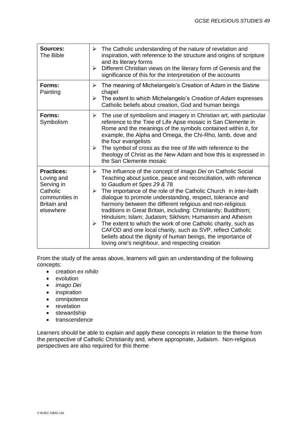| <b>Sources:</b><br>The Bible                                                                                   | The Catholic understanding of the nature of revelation and<br>inspiration, with reference to the structure and origins of scripture<br>and its literary forms<br>Different Christian views on the literary form of Genesis and the<br>significance of this for the interpretation of the accounts                                                                                                                                                                                                                                                                                                                                                                                                                                                                                      |  |
|----------------------------------------------------------------------------------------------------------------|----------------------------------------------------------------------------------------------------------------------------------------------------------------------------------------------------------------------------------------------------------------------------------------------------------------------------------------------------------------------------------------------------------------------------------------------------------------------------------------------------------------------------------------------------------------------------------------------------------------------------------------------------------------------------------------------------------------------------------------------------------------------------------------|--|
| Forms:<br>Painting                                                                                             | The meaning of Michelangelo's Creation of Adam in the Sistine<br>chapel<br>The extent to which Michelangelo's Creation of Adam expresses<br>Catholic beliefs about creation, God and human beings                                                                                                                                                                                                                                                                                                                                                                                                                                                                                                                                                                                      |  |
| Forms:<br>Symbolism                                                                                            | The use of symbolism and imagery in Christian art, with particular<br>reference to the Tree of Life Apse mosaic in San Clemente in<br>Rome and the meanings of the symbols contained within it, for<br>example, the Alpha and Omega, the Chi-Rho, lamb, dove and<br>the four evangelists<br>$\triangleright$ The symbol of cross as the tree of life with reference to the<br>theology of Christ as the New Adam and how this is expressed in<br>the San Clemente mosaic                                                                                                                                                                                                                                                                                                               |  |
| <b>Practices:</b><br>Loving and<br>Serving in<br>Catholic<br>communities in<br><b>Britain and</b><br>elsewhere | The influence of the concept of <i>imago Dei</i> on Catholic Social<br>➤<br>Teaching about justice, peace and reconciliation, with reference<br>to Gaudium et Spes 29 & 78<br>The importance of the role of the Catholic Church in inter-faith<br>➤<br>dialogue to promote understanding, respect, tolerance and<br>harmony between the different religious and non-religious<br>traditions in Great Britain, including: Christianity; Buddhism;<br>Hinduism; Islam; Judaism; Sikhism; Humanism and Atheism<br>The extent to which the work of one Catholic charity, such as<br>$\blacktriangleright$<br>CAFOD and one local charity, such as SVP, reflect Catholic<br>beliefs about the dignity of human beings, the importance of<br>loving one's neighbour, and respecting creation |  |

From the study of the areas above, learners will gain an understanding of the following concepts:

- creation *ex nihilo*
- **•** evolution
- *imago Dei*
- inspiration
- omnipotence
- revelation
- stewardship
- transcendence

Learners should be able to explain and apply these concepts in relation to the theme from the perspective of Catholic Christianity and, where appropriate, Judaism. Non-religious perspectives are also required for this theme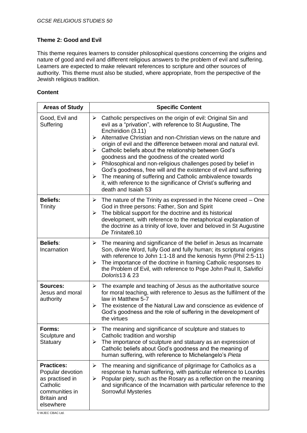#### **Theme 2: Good and Evil**

This theme requires learners to consider philosophical questions concerning the origins and nature of good and evil and different religious answers to the problem of evil and suffering. Learners are expected to make relevant references to scripture and other sources of authority. This theme must also be studied, where appropriate, from the perspective of the Jewish religious tradition.

#### **Content**

| <b>Areas of Study</b>                                                                                                     | <b>Specific Content</b>                                                                                                                                                                                                                                                                                                                                                                                                                                                                                                                                                                                                                                                                                                                                     |  |  |  |
|---------------------------------------------------------------------------------------------------------------------------|-------------------------------------------------------------------------------------------------------------------------------------------------------------------------------------------------------------------------------------------------------------------------------------------------------------------------------------------------------------------------------------------------------------------------------------------------------------------------------------------------------------------------------------------------------------------------------------------------------------------------------------------------------------------------------------------------------------------------------------------------------------|--|--|--|
| Good, Evil and<br>Suffering                                                                                               | Catholic perspectives on the origin of evil: Original Sin and<br>➤<br>evil as a "privation", with reference to St Augustine, The<br>Enchiridion (3.11)<br>Alternative Christian and non-Christian views on the nature and<br>➤<br>origin of evil and the difference between moral and natural evil.<br>Catholic beliefs about the relationship between God's<br>➤<br>goodness and the goodness of the created world<br>Philosophical and non-religious challenges posed by belief in<br>$\blacktriangleright$<br>God's goodness, free will and the existence of evil and suffering<br>$\triangleright$ The meaning of suffering and Catholic ambivalence towards<br>it, with reference to the significance of Christ's suffering and<br>death and Isaiah 53 |  |  |  |
| <b>Beliefs:</b><br>Trinity                                                                                                | The nature of the Trinity as expressed in the Nicene creed – One<br>➤<br>God in three persons: Father, Son and Spirit<br>The biblical support for the doctrine and its historical<br>$\blacktriangleright$<br>development, with reference to the metaphorical explanation of<br>the doctrine as a trinity of love, lover and beloved in St Augustine<br>De Trinitate8.10                                                                                                                                                                                                                                                                                                                                                                                    |  |  |  |
| <b>Beliefs:</b><br>Incarnation                                                                                            | The meaning and significance of the belief in Jesus as Incarnate<br>➤<br>Son, divine Word, fully God and fully human; its scriptural origins<br>with reference to John 1:1-18 and the kenosis hymn (Phil 2:5-11)<br>The importance of the doctrine in framing Catholic responses to<br>➤<br>the Problem of Evil, with reference to Pope John Paul II, Salvifici<br>Doloris13 & 23                                                                                                                                                                                                                                                                                                                                                                           |  |  |  |
| Sources:<br>Jesus and moral<br>authority                                                                                  | The example and teaching of Jesus as the authoritative source<br>➤<br>for moral teaching, with reference to Jesus as the fulfilment of the<br>law in Matthew 5-7<br>The existence of the Natural Law and conscience as evidence of<br>➤<br>God's goodness and the role of suffering in the development of<br>the virtues                                                                                                                                                                                                                                                                                                                                                                                                                                    |  |  |  |
| Forms:<br>Sculpture and<br>Statuary                                                                                       | The meaning and significance of sculpture and statues to<br>➤<br>Catholic tradition and worship<br>The importance of sculpture and statuary as an expression of<br>➤<br>Catholic beliefs about God's goodness and the meaning of<br>human suffering, with reference to Michelangelo's Pieta                                                                                                                                                                                                                                                                                                                                                                                                                                                                 |  |  |  |
| <b>Practices:</b><br>Popular devotion<br>as practised in<br>Catholic<br>communities in<br><b>Britain and</b><br>elsewhere | The meaning and significance of pilgrimage for Catholics as a<br>➤<br>response to human suffering, with particular reference to Lourdes<br>Popular piety, such as the Rosary as a reflection on the meaning<br>➤<br>and significance of the Incarnation with particular reference to the<br><b>Sorrowful Mysteries</b>                                                                                                                                                                                                                                                                                                                                                                                                                                      |  |  |  |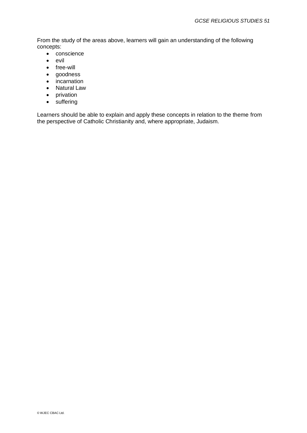From the study of the areas above, learners will gain an understanding of the following concepts:

- conscience
- evil
- free-will
- goodness
- incarnation
- Natural Law
- privation
- suffering

Learners should be able to explain and apply these concepts in relation to the theme from the perspective of Catholic Christianity and, where appropriate, Judaism.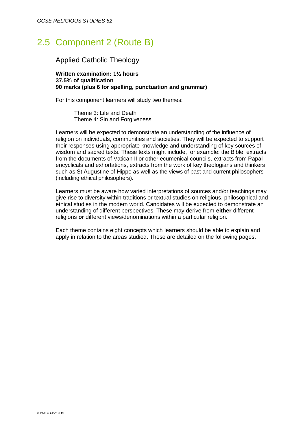## 2.5 Component 2 (Route B)

### Applied Catholic Theology

**Written examination: 1½ hours 37.5% of qualification 90 marks (plus 6 for spelling, punctuation and grammar)**

For this component learners will study two themes:

Theme 3: Life and Death Theme 4: Sin and Forgiveness

Learners will be expected to demonstrate an understanding of the influence of religion on individuals, communities and societies. They will be expected to support their responses using appropriate knowledge and understanding of key sources of wisdom and sacred texts. These texts might include, for example: the Bible; extracts from the documents of Vatican II or other ecumenical councils, extracts from Papal encyclicals and exhortations, extracts from the work of key theologians and thinkers such as St Augustine of Hippo as well as the views of past and current philosophers (including ethical philosophers).

Learners must be aware how varied interpretations of sources and/or teachings may give rise to diversity within traditions or textual studies on religious, philosophical and ethical studies in the modern world. Candidates will be expected to demonstrate an understanding of different perspectives. These may derive from **either** different religions **or** different views/denominations within a particular religion.

Each theme contains eight concepts which learners should be able to explain and apply in relation to the areas studied. These are detailed on the following pages.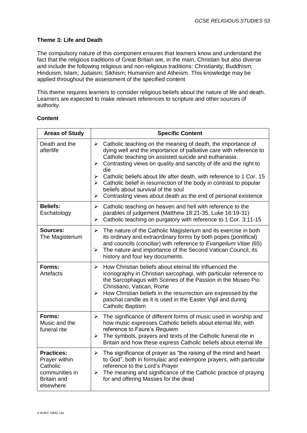#### **Theme 3: Life and Death**

The compulsory nature of this component ensures that learners know and understand the fact that the religious traditions of Great Britain are, in the main, Christian but also diverse and include the following religious and non-religious traditions: Christianity; Buddhism; Hinduism; Islam; Judaism; Sikhism; Humanism and Atheism. This knowledge may be applied throughout the assessment of the specified content

This theme requires learners to consider religious beliefs about the nature of life and death. Learners are expected to make relevant references to scripture and other sources of authority.

| <b>Areas of Study</b>                                                                               | <b>Specific Content</b>                                                                                                                                                                                                                                                                                                                                                                                 |  |  |
|-----------------------------------------------------------------------------------------------------|---------------------------------------------------------------------------------------------------------------------------------------------------------------------------------------------------------------------------------------------------------------------------------------------------------------------------------------------------------------------------------------------------------|--|--|
| Death and the<br>afterlife                                                                          | $\blacktriangleright$<br>Catholic teaching on the meaning of death, the importance of<br>dying well and the importance of palliative care with reference to<br>Catholic teaching on assisted suicide and euthanasia.<br>Contrasting views on quality and sanctity of life and the right to<br>$\blacktriangleright$<br>die<br>Catholic beliefs about life after death, with reference to 1 Cor. 15<br>➤ |  |  |
|                                                                                                     | $\triangleright$ Catholic belief in resurrection of the body in contrast to popular<br>beliefs about survival of the soul<br>Contrasting views about death as the end of personal existence<br>➤                                                                                                                                                                                                        |  |  |
| <b>Beliefs:</b><br>Eschatology                                                                      | Catholic teaching on heaven and hell with reference to the<br>$\blacktriangleright$<br>parables of judgement (Matthew 18:21-35, Luke 16:19-31)<br>Catholic teaching on purgatory with reference to 1 Cor. 3:11-15<br>➤                                                                                                                                                                                  |  |  |
| <b>Sources:</b><br>The Magisterium                                                                  | $\blacktriangleright$<br>The nature of the Catholic Magisterium and its exercise in both<br>its ordinary and extraordinary forms by both popes (pontifical)<br>and councils (conciliar) with reference to Evangelium Vitae (65)<br>The nature and importance of the Second Vatican Council, its<br>➤<br>history and four key documents.                                                                 |  |  |
| Forms:<br>Artefacts                                                                                 | How Christian beliefs about eternal life influenced the<br>➤<br>iconography in Christian sarcophagi, with particular reference to<br>the Sarcophagus with Scenes of the Passion in the Museo Pio<br>Christiano, Vatican, Rome<br>How Christian beliefs in the resurrection are expressed by the<br>➤<br>paschal candle as it is used in the Easter Vigil and during<br><b>Catholic Baptism</b>          |  |  |
| Forms:<br>Music and the<br>funeral rite                                                             | The significance of different forms of music used in worship and<br>$\blacktriangleright$<br>how music expresses Catholic beliefs about eternal life, with<br>reference to Faure's Requiem<br>The symbols, prayers and texts of the Catholic funeral rite in<br>$\blacktriangleright$<br>Britain and how these express Catholic beliefs about eternal life                                              |  |  |
| <b>Practices:</b><br>Prayer within<br>Catholic<br>communities in<br><b>Britain and</b><br>elsewhere | $\blacktriangleright$<br>The significance of prayer as "the raising of the mind and heart<br>to God", both in formulaic and extempore prayers, with particular<br>reference to the Lord's Prayer<br>The meaning and significance of the Catholic practice of praying<br>$\blacktriangleright$<br>for and offering Masses for the dead                                                                   |  |  |

#### **Content**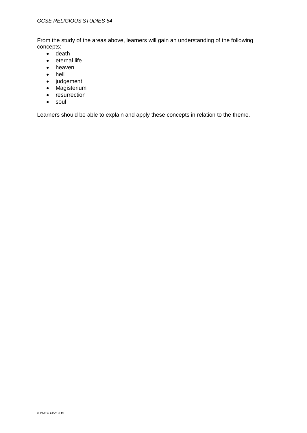From the study of the areas above, learners will gain an understanding of the following concepts:

- $\bullet$  death
- eternal life
- heaven
- hell
- judgement
- Magisterium
- resurrection
- soul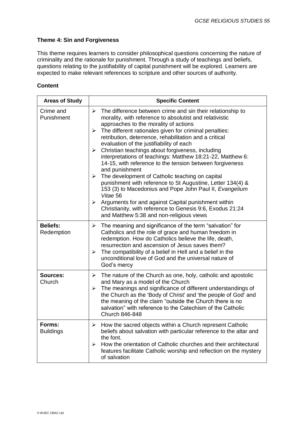#### **Theme 4: Sin and Forgiveness**

This theme requires learners to consider philosophical questions concerning the nature of criminality and the rationale for punishment. Through a study of teachings and beliefs, questions relating to the justifiability of capital punishment will be explored. Learners are expected to make relevant references to scripture and other sources of authority.

#### **Content**

| <b>Areas of Study</b>         | <b>Specific Content</b>                                                                                                                                                                                                                                                                                                                                                                                                                                                                                                                                                                                                                                                                                                                                                                                                                                                                                                                         |  |  |
|-------------------------------|-------------------------------------------------------------------------------------------------------------------------------------------------------------------------------------------------------------------------------------------------------------------------------------------------------------------------------------------------------------------------------------------------------------------------------------------------------------------------------------------------------------------------------------------------------------------------------------------------------------------------------------------------------------------------------------------------------------------------------------------------------------------------------------------------------------------------------------------------------------------------------------------------------------------------------------------------|--|--|
| Crime and<br>Punishment       | ➤<br>The difference between crime and sin their relationship to<br>morality, with reference to absolutist and relativistic<br>approaches to the morality of actions<br>The different rationales given for criminal penalties:<br>➤<br>retribution, deterrence, rehabilitation and a critical<br>evaluation of the justifiability of each<br>Christian teachings about forgiveness, including<br>➤<br>interpretations of teachings: Matthew 18:21-22, Matthew 6:<br>14-15, with reference to the tension between forgiveness<br>and punishment<br>$\triangleright$ The development of Catholic teaching on capital<br>punishment with reference to St Augustine, Letter 134(4) &<br>153 (3) to Macedonius and Pope John Paul II, Evangelium<br>Vitae 56<br>Arguments for and against Capital punishment within<br>$\blacktriangleright$<br>Christianity, with reference to Genesis 9:6, Exodus 21:24<br>and Matthew 5:38 and non-religious views |  |  |
| <b>Beliefs:</b><br>Redemption | The meaning and significance of the term "salvation" for<br>➤<br>Catholics and the role of grace and human freedom in<br>redemption. How do Catholics believe the life, death,<br>resurrection and ascension of Jesus saves them?<br>The compatibility of a belief in Hell and a belief in the<br>➤<br>unconditional love of God and the universal nature of<br>God's mercy                                                                                                                                                                                                                                                                                                                                                                                                                                                                                                                                                                     |  |  |
| <b>Sources:</b><br>Church     | The nature of the Church as one, holy, catholic and apostolic<br>➤<br>and Mary as a model of the Church<br>The meanings and significance of different understandings of<br>≻<br>the Church as the 'Body of Christ' and 'the people of God' and<br>the meaning of the claim "outside the Church there is no<br>salvation" with reference to the Catechism of the Catholic<br>Church 846-848                                                                                                                                                                                                                                                                                                                                                                                                                                                                                                                                                      |  |  |
| Forms:<br><b>Buildings</b>    | How the sacred objects within a Church represent Catholic<br>➤<br>beliefs about salvation with particular reference to the altar and<br>the font.<br>How the orientation of Catholic churches and their architectural<br>≻<br>features facilitate Catholic worship and reflection on the mystery<br>of salvation                                                                                                                                                                                                                                                                                                                                                                                                                                                                                                                                                                                                                                |  |  |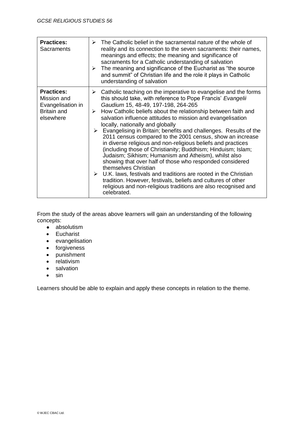| <b>Practices:</b><br>Sacraments                                                          | $\triangleright$ The Catholic belief in the sacramental nature of the whole of<br>reality and its connection to the seven sacraments: their names,<br>meanings and effects; the meaning and significance of<br>sacraments for a Catholic understanding of salvation<br>$\triangleright$ The meaning and significance of the Eucharist as "the source"<br>and summit" of Christian life and the role it plays in Catholic<br>understanding of salvation                                                                                                                                                                                                                                                                                                                                                                                                                                                                                                                                                                             |  |
|------------------------------------------------------------------------------------------|------------------------------------------------------------------------------------------------------------------------------------------------------------------------------------------------------------------------------------------------------------------------------------------------------------------------------------------------------------------------------------------------------------------------------------------------------------------------------------------------------------------------------------------------------------------------------------------------------------------------------------------------------------------------------------------------------------------------------------------------------------------------------------------------------------------------------------------------------------------------------------------------------------------------------------------------------------------------------------------------------------------------------------|--|
| <b>Practices:</b><br>Mission and<br>Evangelisation in<br><b>Britain and</b><br>elsewhere | Catholic teaching on the imperative to evangelise and the forms<br>➤<br>this should take, with reference to Pope Francis' Evangelii<br>Gaudium 15, 48-49, 197-198, 264-265<br>$\triangleright$ How Catholic beliefs about the relationship between faith and<br>salvation influence attitudes to mission and evangelisation<br>locally, nationally and globally<br>$\triangleright$ Evangelising in Britain; benefits and challenges. Results of the<br>2011 census compared to the 2001 census, show an increase<br>in diverse religious and non-religious beliefs and practices<br>(including those of Christianity; Buddhism; Hinduism; Islam;<br>Judaism; Sikhism; Humanism and Atheism), whilst also<br>showing that over half of those who responded considered<br>themselves Christian<br>$\triangleright$ U.K. laws, festivals and traditions are rooted in the Christian<br>tradition. However, festivals, beliefs and cultures of other<br>religious and non-religious traditions are also recognised and<br>celebrated. |  |

From the study of the areas above learners will gain an understanding of the following concepts:

- absolutism
- **•** Eucharist
- evangelisation
- forgiveness
- punishment
- relativism
- salvation
- $\bullet$  sin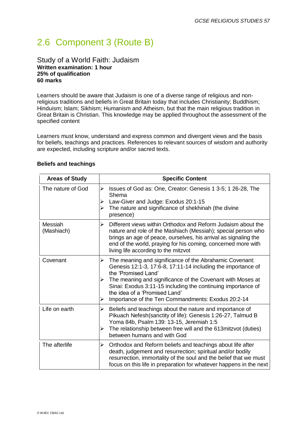# 2.6 Component 3 (Route B)

#### Study of a World Faith: Judaism **Written examination: 1 hour 25% of qualification 60 marks**

Learners should be aware that Judaism is one of a diverse range of religious and nonreligious traditions and beliefs in Great Britain today that includes Christianity; Buddhism; Hinduism; Islam; Sikhism; Humanism and Atheism, but that the main religious tradition in Great Britain is Christian. This knowledge may be applied throughout the assessment of the specified content

Learners must know, understand and express common and divergent views and the basis for beliefs, teachings and practices. References to relevant sources of wisdom and authority are expected, including scripture and/or sacred texts.

| <b>Areas of Study</b> | <b>Specific Content</b>                                                                                                                                                                                                                                                                                                                                                       |  |  |
|-----------------------|-------------------------------------------------------------------------------------------------------------------------------------------------------------------------------------------------------------------------------------------------------------------------------------------------------------------------------------------------------------------------------|--|--|
| The nature of God     | Issues of God as: One, Creator: Genesis 1 3-5; 1 26-28, The<br>➤<br>Shema<br>Law-Giver and Judge: Exodus 20:1-15<br>➤<br>The nature and significance of shekhinah (the divine<br>➤<br>presence)                                                                                                                                                                               |  |  |
| Messiah<br>(Mashiach) | Different views within Orthodox and Reform Judaism about the<br>➤<br>nature and role of the Mashiach (Messiah); special person who<br>brings an age of peace, ourselves, his arrival as signaling the<br>end of the world, praying for his coming, concerned more with<br>living life according to the mitzvot                                                                |  |  |
| Covenant              | The meaning and significance of the Abrahamic Covenant:<br>➤<br>Genesis 12:1-3, 17:6-8, 17:11-14 including the importance of<br>the 'Promised Land'<br>The meaning and significance of the Covenant with Moses at<br>Sinai: Exodus 3:11-15 including the continuing importance of<br>the idea of a 'Promised Land'<br>Importance of the Ten Commandments: Exodus 20:2-14<br>➤ |  |  |
| Life on earth         | Beliefs and teachings about the nature and importance of<br>➤<br>Pikuach Nefesh(sanctity of life): Genesis 1:26-27, Talmud B<br>Yoma 84b, Psalm 139: 13-15, Jeremiah 1:5<br>The relationship between free will and the 613mitzvot (duties)<br>➤<br>between humans and with God                                                                                                |  |  |
| The afterlife         | Orthodox and Reform beliefs and teachings about life after<br>➤<br>death, judgement and resurrection; spiritual and/or bodily<br>resurrection, immortality of the soul and the belief that we must<br>focus on this life in preparation for whatever happens in the next                                                                                                      |  |  |

#### **Beliefs and teachings**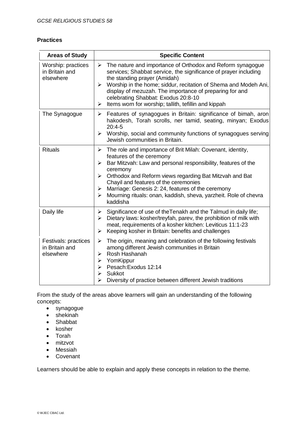#### **Practices**

| <b>Areas of Study</b>                               | <b>Specific Content</b>                                                                                                                                                                                                                                                                                                                                                                                                                           |  |  |
|-----------------------------------------------------|---------------------------------------------------------------------------------------------------------------------------------------------------------------------------------------------------------------------------------------------------------------------------------------------------------------------------------------------------------------------------------------------------------------------------------------------------|--|--|
| Worship: practices<br>in Britain and<br>elsewhere   | $\triangleright$ The nature and importance of Orthodox and Reform synagogue<br>services; Shabbat service, the significance of prayer including<br>the standing prayer (Amidah)<br>Worship in the home; siddur, recitation of Shema and Modeh Ani,<br>➤<br>display of mezuzah. The importance of preparing for and<br>celebrating Shabbat: Exodus 20:8-10<br>Items worn for worship; tallith, tefillin and kippah<br>≻                             |  |  |
| The Synagogue                                       | Features of synagogues in Britain: significance of bimah, aron<br>➤<br>hakodesh, Torah scrolls, ner tamid, seating, minyan; Exodus<br>$20:4-5$<br>$\triangleright$ Worship, social and community functions of synagogues serving<br>Jewish communities in Britain.                                                                                                                                                                                |  |  |
| <b>Rituals</b>                                      | $\triangleright$ The role and importance of Brit Milah: Covenant, identity,<br>features of the ceremony<br>Bar Mitzvah: Law and personal responsibility, features of the<br>➤<br>ceremony<br>Orthodox and Reform views regarding Bat Mitzvah and Bat<br>≻<br>Chayil and features of the ceremonies<br>Marriage: Genesis 2: 24, features of the ceremony<br>➤<br>Mourning rituals: onan, kaddish, sheva, yarzheit. Role of chevra<br>➤<br>kaddisha |  |  |
| Daily life                                          | Significance of use of the Tenakh and the Talmud in daily life;<br>➤<br>Dietary laws: kosher/treyfah, parev, the prohibition of milk with<br>$\blacktriangleright$<br>meat, requirements of a kosher kitchen: Leviticus 11:1-23<br>Keeping kosher in Britain: benefits and challenges<br>≻                                                                                                                                                        |  |  |
| Festivals: practices<br>in Britain and<br>elsewhere | The origin, meaning and celebration of the following festivals<br>➤<br>among different Jewish communities in Britain<br>Rosh Hashanah<br>⋗<br>YomKippur<br>➤<br>Pesach: Exodus 12:14<br>⋗<br>Sukkot<br>➤<br>Diversity of practice between different Jewish traditions<br>➤                                                                                                                                                                        |  |  |

From the study of the areas above learners will gain an understanding of the following concepts:

- synagogue
- shekinah
- Shabbat
- kosher
- Torah
- mitzvot
- Messiah
- Covenant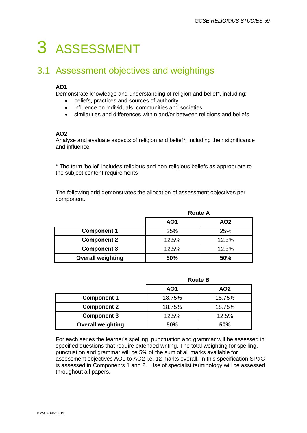# 3 ASSESSMENT

## 3.1 Assessment objectives and weightings

#### **AO1**

Demonstrate knowledge and understanding of religion and belief\*, including:

- beliefs, practices and sources of authority
- influence on individuals, communities and societies
- similarities and differences within and/or between religions and beliefs

#### **AO2**

Analyse and evaluate aspects of religion and belief\*, including their significance and influence

\* The term 'belief' includes religious and non-religious beliefs as appropriate to the subject content requirements

The following grid demonstrates the allocation of assessment objectives per component.

|                          |            | <b>Route A</b>  |  |
|--------------------------|------------|-----------------|--|
|                          | <b>AO1</b> | AO <sub>2</sub> |  |
| <b>Component 1</b>       | 25%        | 25%             |  |
| <b>Component 2</b>       | 12.5%      | 12.5%           |  |
| <b>Component 3</b>       | 12.5%      | 12.5%           |  |
| <b>Overall weighting</b> | <b>50%</b> | <b>50%</b>      |  |

|                          |        | <b>Route B</b>  |  |
|--------------------------|--------|-----------------|--|
|                          | AO1    | AO <sub>2</sub> |  |
| <b>Component 1</b>       | 18.75% | 18.75%          |  |
| <b>Component 2</b>       | 18.75% | 18.75%          |  |
| <b>Component 3</b>       | 12.5%  | 12.5%           |  |
| <b>Overall weighting</b> | 50%    | 50%             |  |

For each series the learner's spelling, punctuation and grammar will be assessed in specified questions that require extended writing. The total weighting for spelling, punctuation and grammar will be 5% of the sum of all marks available for assessment objectives AO1 to AO2 i.e. 12 marks overall. In this specification SPaG is assessed in Components 1 and 2. Use of specialist terminology will be assessed throughout all papers.